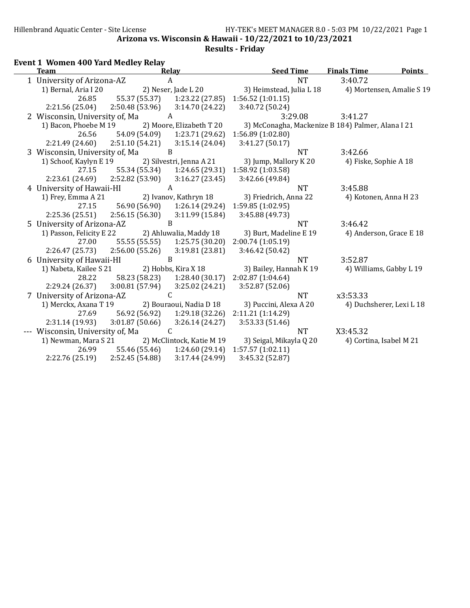Results - Friday

# Event 1 Women 400 Yard Medley Relay

| <b>Team</b>                      |                 | Relay                         | <b>Seed Time</b>         | <b>Finals Time</b><br>Points                      |
|----------------------------------|-----------------|-------------------------------|--------------------------|---------------------------------------------------|
| 1 University of Arizona-AZ       |                 | A                             | <b>NT</b>                | 3:40.72                                           |
| 1) Bernal, Aria I 20             |                 | 2) Neser, Jade L 20           | 3) Heimstead, Julia L 18 | 4) Mortensen, Amalie S 19                         |
| 26.85                            |                 | 55.37 (55.37) 1:23.22 (27.85) | 1:56.52(1:01.15)         |                                                   |
| 2:21.56 (25.04)                  | 2:50.48(53.96)  | 3:14.70(24.22)                | 3:40.72 (50.24)          |                                                   |
| 2 Wisconsin, University of, Ma   |                 | A                             | 3:29.08                  | 3:41.27                                           |
| 1) Bacon, Phoebe M 19            |                 | 2) Moore, Elizabeth T 20      |                          | 3) McConagha, Mackenize B 184) Palmer, Alana I 21 |
| 26.56                            | 54.09 (54.09)   | 1:23.71 (29.62)               | 1:56.89 (1:02.80)        |                                                   |
| 2:21.49 (24.60)                  | 2:51.10(54.21)  | 3:15.14(24.04)                | 3:41.27(50.17)           |                                                   |
| 3 Wisconsin, University of, Ma   |                 | $\mathbf B$                   | <b>NT</b>                | 3:42.66                                           |
| 1) Schoof, Kaylyn E 19           |                 | 2) Silvestri, Jenna A 21      | 3) Jump, Mallory K 20    | 4) Fiske, Sophie A 18                             |
| 27.15                            | 55.34 (55.34)   | 1:24.65 (29.31)               | 1:58.92 (1:03.58)        |                                                   |
| 2:23.61(24.69)                   | 2:52.82(53.90)  | 3:16.27(23.45)                | 3:42.66 (49.84)          |                                                   |
| 4 University of Hawaii-HI        |                 | $\boldsymbol{A}$              | <b>NT</b>                | 3:45.88                                           |
| 1) Frey, Emma A 21               |                 | 2) Ivanov, Kathryn 18         | 3) Friedrich, Anna 22    | 4) Kotonen, Anna H 23                             |
| 27.15                            | 56.90 (56.90)   | 1:26.14(29.24)                | 1:59.85 (1:02.95)        |                                                   |
| 2:25.36 (25.51)                  | 2:56.15(56.30)  | 3:11.99 (15.84)               | 3:45.88 (49.73)          |                                                   |
| 5 University of Arizona-AZ       |                 | $\overline{B}$                | <b>NT</b>                | 3:46.42                                           |
| 1) Passon, Felicity E 22         |                 | 2) Ahluwalia, Maddy 18        | 3) Burt, Madeline E 19   | 4) Anderson, Grace E 18                           |
| 27.00                            |                 | 55.55 (55.55) 1:25.75 (30.20) | 2:00.74(1:05.19)         |                                                   |
| 2:26.47(25.73)                   | 2:56.00(55.26)  | 3:19.81(23.81)                | 3:46.42 (50.42)          |                                                   |
| 6 University of Hawaii-HI        |                 | B                             | <b>NT</b>                | 3:52.87                                           |
| 1) Nabeta, Kailee S 21           |                 | 2) Hobbs, Kira X 18           | 3) Bailey, Hannah K 19   | 4) Williams, Gabby L 19                           |
| 28.22                            | 58.23 (58.23)   | 1:28.40(30.17)                | 2:02.87 (1:04.64)        |                                                   |
| 2:29.24(26.37)                   | 3:00.81(57.94)  | 3:25.02(24.21)                | 3:52.87 (52.06)          |                                                   |
| 7 University of Arizona-AZ       |                 | $\mathsf{C}$                  | <b>NT</b>                | x3:53.33                                          |
| 1) Merckx, Axana T 19            |                 | 2) Bouraoui, Nadia D 18       | 3) Puccini, Alexa A 20   | 4) Duchsherer, Lexi L 18                          |
| 27.69                            | 56.92 (56.92)   | 1:29.18 (32.26)               | 2:11.21 (1:14.29)        |                                                   |
| 2:31.14 (19.93)                  | 3:01.87(50.66)  | 3:26.14(24.27)                | 3:53.33 (51.46)          |                                                   |
| --- Wisconsin, University of, Ma |                 | $\mathsf{C}$                  | <b>NT</b>                | X3:45.32                                          |
| 1) Newman, Mara S 21             |                 | 2) McClintock, Katie M 19     | 3) Seigal, Mikayla Q 20  | 4) Cortina, Isabel M 21                           |
| 26.99                            | 55.46 (55.46)   | 1:24.60 (29.14)               | 1:57.57(1:02.11)         |                                                   |
| 2:22.76 (25.19)                  | 2:52.45 (54.88) | 3:17.44(24.99)                | 3:45.32 (52.87)          |                                                   |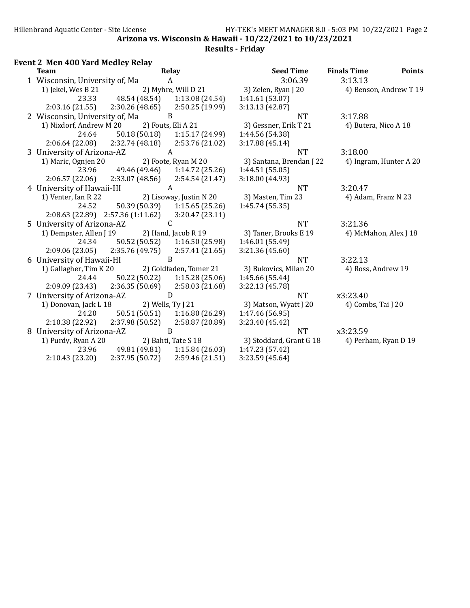Results - Friday

### Event 2 Men 400 Yard Medley Relay

| <b>Team</b><br>Relay           |                                                   |                                   | <b>Seed Time</b>         | <b>Finals Time</b>     | <b>Points</b>          |
|--------------------------------|---------------------------------------------------|-----------------------------------|--------------------------|------------------------|------------------------|
| 1 Wisconsin, University of, Ma |                                                   | A                                 | 3:06.39                  | 3:13.13                |                        |
| 1) Jekel, Wes B 21             |                                                   | 2) Myhre, Will D 21               | 3) Zelen, Ryan J 20      |                        | 4) Benson, Andrew T 19 |
| 23.33                          | 48.54 (48.54)                                     | 1:13.08 (24.54)                   | 1:41.61(53.07)           |                        |                        |
| 2:03.16 (21.55)                | 2:30.26(48.65)                                    | 2:50.25 (19.99)                   | 3:13.13 (42.87)          |                        |                        |
| 2 Wisconsin, University of, Ma |                                                   | B                                 | NT.                      | 3:17.88                |                        |
| 1) Nixdorf, Andrew M 20        |                                                   | 2) Fouts, Eli A 21                | 3) Gessner, Erik T 21    | 4) Butera, Nico A 18   |                        |
| 24.64                          |                                                   | 50.18 (50.18) 1:15.17 (24.99)     | 1:44.56 (54.38)          |                        |                        |
| 2:06.64(22.08)                 |                                                   | $2:32.74(48.18)$ $2:53.76(21.02)$ | 3:17.88(45.14)           |                        |                        |
| 3 University of Arizona-AZ     |                                                   | A                                 | <b>NT</b>                | 3:18.00                |                        |
| 1) Maric, Ognjen 20            |                                                   | 2) Foote, Ryan M 20               | 3) Santana, Brendan J 22 | 4) Ingram, Hunter A 20 |                        |
| 23.96                          | 49.46 (49.46)                                     | 1:14.72 (25.26)                   | 1:44.51 (55.05)          |                        |                        |
| 2:06.57 (22.06)                | 2:33.07 (48.56)                                   | 2:54.54(21.47)                    | 3:18.00 (44.93)          |                        |                        |
| 4 University of Hawaii-HI      |                                                   | A                                 | <b>NT</b>                | 3:20.47                |                        |
| 1) Venter, Ian R 22            |                                                   | 2) Lisoway, Justin N 20           | 3) Masten, Tim 23        | 4) Adam, Franz N 23    |                        |
| 24.52                          | 50.39 (50.39)                                     | 1:15.65(25.26)                    | 1:45.74 (55.35)          |                        |                        |
|                                | 2:08.63 (22.89) 2:57.36 (1:11.62) 3:20.47 (23.11) |                                   |                          |                        |                        |
| 5 University of Arizona-AZ     |                                                   | $\mathcal{C}$                     | <b>NT</b>                | 3:21.36                |                        |
| 1) Dempster, Allen J 19        |                                                   | 2) Hand, Jacob R 19               | 3) Taner, Brooks E 19    | 4) McMahon, Alex J 18  |                        |
| 24.34                          | 50.52 (50.52)                                     | 1:16.50(25.98)                    | 1:46.01 (55.49)          |                        |                        |
| 2:09.06(23.05)                 | 2:35.76 (49.75)                                   | 2:57.41(21.65)                    | 3:21.36 (45.60)          |                        |                        |
| 6 University of Hawaii-HI      |                                                   | B                                 | <b>NT</b>                | 3:22.13                |                        |
| 1) Gallagher, Tim K 20         |                                                   | 2) Goldfaden, Tomer 21            | 3) Bukovics, Milan 20    | 4) Ross, Andrew 19     |                        |
| 24.44                          | 50.22 (50.22)                                     | 1:15.28(25.06)                    | 1:45.66 (55.44)          |                        |                        |
| 2:09.09 (23.43)                | 2:36.35(50.69)                                    | 2:58.03(21.68)                    | 3:22.13 (45.78)          |                        |                        |
| 7 University of Arizona-AZ     |                                                   | D                                 | <b>NT</b>                | x3:23.40               |                        |
| 1) Donovan, Jack L 18          |                                                   | 2) Wells, Ty J 21                 | 3) Matson, Wyatt J 20    | 4) Combs, Tai J 20     |                        |
| 24.20                          | 50.51 (50.51)                                     | 1:16.80(26.29)                    | 1:47.46 (56.95)          |                        |                        |
| 2:10.38 (22.92)                | 2:37.98 (50.52)                                   | 2:58.87 (20.89)                   | 3:23.40 (45.42)          |                        |                        |
| 8 University of Arizona-AZ     |                                                   | B                                 | <b>NT</b>                | x3:23.59               |                        |
| 1) Purdy, Ryan A 20            |                                                   | 2) Bahti, Tate S 18               | 3) Stoddard, Grant G 18  | 4) Perham, Ryan D 19   |                        |
| 23.96                          | 49.81 (49.81)                                     | 1:15.84 (26.03)                   | 1:47.23 (57.42)          |                        |                        |
| 2:10.43(23.20)                 | 2:37.95(50.72)                                    | 2:59.46 (21.51)                   | 3:23.59 (45.64)          |                        |                        |
|                                |                                                   |                                   |                          |                        |                        |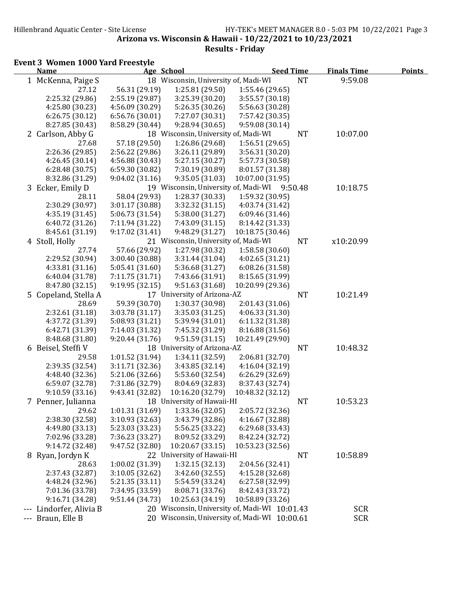| <b>Event 3 Women 1000 Yard Freestyle</b> |  |
|------------------------------------------|--|

| <b>Name</b>                          | Age School      |                                      | <b>Seed Time</b>                              |           | <b>Finals Time</b> | <b>Points</b> |
|--------------------------------------|-----------------|--------------------------------------|-----------------------------------------------|-----------|--------------------|---------------|
| 1 McKenna, Paige S                   |                 | 18 Wisconsin, University of, Madi-WI |                                               | NT        | 9:59.08            |               |
| 27.12                                | 56.31 (29.19)   | 1:25.81 (29.50)                      | 1:55.46 (29.65)                               |           |                    |               |
| 2:25.32 (29.86)                      | 2:55.19 (29.87) | 3:25.39 (30.20)                      | 3:55.57 (30.18)                               |           |                    |               |
| 4:25.80 (30.23)                      | 4:56.09 (30.29) | 5:26.35 (30.26)                      | 5:56.63 (30.28)                               |           |                    |               |
| 6:26.75(30.12)                       | 6:56.76(30.01)  | 7:27.07 (30.31)                      | 7:57.42 (30.35)                               |           |                    |               |
| 8:27.85 (30.43)                      | 8:58.29 (30.44) | 9:28.94 (30.65)                      | 9:59.08 (30.14)                               |           |                    |               |
| 2 Carlson, Abby G                    |                 | 18 Wisconsin, University of, Madi-WI |                                               | <b>NT</b> | 10:07.00           |               |
| 27.68                                | 57.18 (29.50)   | 1:26.86 (29.68)                      | 1:56.51(29.65)                                |           |                    |               |
| 2:26.36 (29.85)                      | 2:56.22 (29.86) | 3:26.11(29.89)                       | 3:56.31(30.20)                                |           |                    |               |
| 4:26.45 (30.14)                      | 4:56.88 (30.43) | 5:27.15 (30.27)                      | 5:57.73 (30.58)                               |           |                    |               |
| 6:28.48(30.75)                       | 6:59.30 (30.82) | 7:30.19 (30.89)                      | 8:01.57 (31.38)                               |           |                    |               |
| 8:32.86 (31.29)                      | 9:04.02 (31.16) | 9:35.05 (31.03)                      | 10:07.00 (31.95)                              |           |                    |               |
| 3 Ecker, Emily D                     |                 | 19 Wisconsin, University of, Madi-WI |                                               | 9:50.48   | 10:18.75           |               |
| 28.11                                | 58.04 (29.93)   | 1:28.37 (30.33)                      | 1:59.32 (30.95)                               |           |                    |               |
| 2:30.29 (30.97)                      | 3:01.17 (30.88) | 3:32.32 (31.15)                      | 4:03.74 (31.42)                               |           |                    |               |
| 4:35.19 (31.45)                      | 5:06.73 (31.54) | 5:38.00 (31.27)                      | 6:09.46 (31.46)                               |           |                    |               |
| 6:40.72 (31.26)                      | 7:11.94 (31.22) | 7:43.09 (31.15)                      | 8:14.42 (31.33)                               |           |                    |               |
| 8:45.61 (31.19)                      | 9:17.02 (31.41) | 9:48.29 (31.27)                      | 10:18.75 (30.46)                              |           |                    |               |
| 4 Stoll, Holly                       |                 | 21 Wisconsin, University of, Madi-WI |                                               | <b>NT</b> | x10:20.99          |               |
| 27.74                                | 57.66 (29.92)   | 1:27.98 (30.32)                      | 1:58.58(30.60)                                |           |                    |               |
| 2:29.52 (30.94)                      | 3:00.40 (30.88) | 3:31.44 (31.04)                      | 4:02.65(31.21)                                |           |                    |               |
| 4:33.81 (31.16)                      | 5:05.41 (31.60) | 5:36.68 (31.27)                      | 6:08.26 (31.58)                               |           |                    |               |
| 6:40.04(31.78)                       | 7:11.75 (31.71) | 7:43.66 (31.91)                      | 8:15.65 (31.99)                               |           |                    |               |
| 8:47.80 (32.15)                      | 9:19.95(32.15)  | 9:51.63(31.68)                       | 10:20.99 (29.36)                              |           |                    |               |
| 5 Copeland, Stella A                 |                 | 17 University of Arizona-AZ          |                                               | <b>NT</b> | 10:21.49           |               |
| 28.69                                | 59.39 (30.70)   | 1:30.37 (30.98)                      | 2:01.43 (31.06)                               |           |                    |               |
| 2:32.61 (31.18)                      | 3:03.78 (31.17) | 3:35.03 (31.25)                      | 4:06.33 (31.30)                               |           |                    |               |
| 4:37.72 (31.39)                      | 5:08.93 (31.21) | 5:39.94 (31.01)                      | 6:11.32 (31.38)                               |           |                    |               |
| 6:42.71 (31.39)                      | 7:14.03 (31.32) | 7:45.32 (31.29)                      | 8:16.88 (31.56)                               |           |                    |               |
| 8:48.68 (31.80)                      | 9:20.44(31.76)  | 9:51.59 (31.15)                      | 10:21.49 (29.90)                              |           |                    |               |
| 6 Beisel, Steffi V                   |                 | 18 University of Arizona-AZ          |                                               | NT        | 10:48.32           |               |
| 29.58                                | 1:01.52 (31.94) | 1:34.11 (32.59)                      | 2:06.81 (32.70)                               |           |                    |               |
| 2:39.35 (32.54)                      | 3:11.71 (32.36) | 3:43.85 (32.14)                      | 4:16.04(32.19)                                |           |                    |               |
| 4:48.40 (32.36)                      | 5:21.06 (32.66) | 5:53.60 (32.54)                      | 6:26.29 (32.69)                               |           |                    |               |
| 6:59.07 (32.78)                      | 7:31.86 (32.79) | 8:04.69 (32.83)                      | 8:37.43 (32.74)                               |           |                    |               |
| 9:10.59(33.16)                       | 9:43.41 (32.82) | 10:16.20 (32.79)                     | 10:48.32 (32.12)                              |           |                    |               |
| 7 Penner, Julianna                   |                 | 18 University of Hawaii-HI           |                                               | <b>NT</b> | 10:53.23           |               |
| 29.62                                | 1:01.31 (31.69) | 1:33.36 (32.05)                      | 2:05.72 (32.36)                               |           |                    |               |
| 2:38.30 (32.58)                      | 3:10.93 (32.63) | 3:43.79 (32.86)                      | 4:16.67 (32.88)                               |           |                    |               |
| 4:49.80 (33.13)                      | 5:23.03 (33.23) | 5:56.25 (33.22)                      | 6:29.68 (33.43)                               |           |                    |               |
| 7:02.96 (33.28)                      | 7:36.23 (33.27) | 8:09.52 (33.29)                      | 8:42.24 (32.72)                               |           |                    |               |
| 9:14.72 (32.48)                      | 9:47.52 (32.80) | 10:20.67 (33.15)                     | 10:53.23 (32.56)                              |           |                    |               |
| 8 Ryan, Jordyn K                     |                 | 22 University of Hawaii-HI           |                                               | NT.       | 10:58.89           |               |
| 28.63                                | 1:00.02 (31.39) | 1:32.15 (32.13)                      | 2:04.56 (32.41)                               |           |                    |               |
| 2:37.43 (32.87)                      | 3:10.05(32.62)  | 3:42.60 (32.55)                      | 4:15.28 (32.68)                               |           |                    |               |
| 4:48.24 (32.96)                      | 5:21.35 (33.11) | 5:54.59 (33.24)                      | 6:27.58 (32.99)                               |           |                    |               |
| 7:01.36 (33.78)                      | 7:34.95 (33.59) | 8:08.71 (33.76)                      | 8:42.43 (33.72)                               |           |                    |               |
| 9:16.71 (34.28)                      | 9:51.44 (34.73) | 10:25.63 (34.19)                     | 10:58.89 (33.26)                              |           |                    |               |
| Lindorfer, Alivia B                  |                 |                                      | 20 Wisconsin, University of, Madi-WI 10:01.43 |           | <b>SCR</b>         |               |
| Braun, Elle B<br>$\qquad \qquad - -$ |                 |                                      | 20 Wisconsin, University of, Madi-WI 10:00.61 |           | <b>SCR</b>         |               |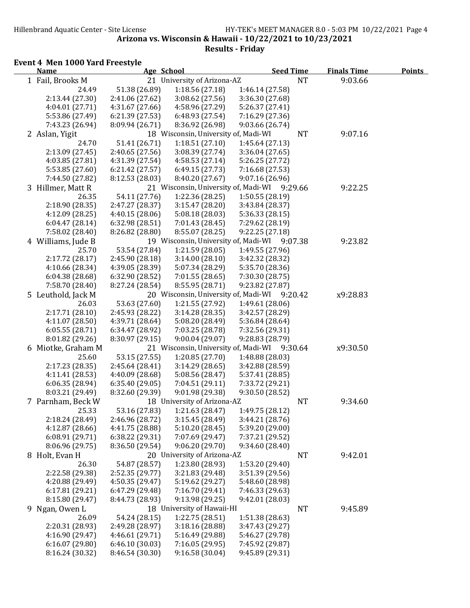Results - Friday

### Event 4 Men 1000 Yard Freestyle

|                 | <b>Seed Time</b>                                                                                                                                                                                                                                                                                                                                                                                                                                                                                                                                                                                                                                                                                                                                                                                                                                                                                                                                                                                                                                                                                                                                                                                                                                                                                                                                                                                                                                                              | <b>Finals Time</b>                                                                                                                                                                                                                                                                                                                                                                                                                                                                                                                                                                                                                                                                                                                                                                                                                                                                                                                                         | <b>Points</b>                                                                          |
|-----------------|-------------------------------------------------------------------------------------------------------------------------------------------------------------------------------------------------------------------------------------------------------------------------------------------------------------------------------------------------------------------------------------------------------------------------------------------------------------------------------------------------------------------------------------------------------------------------------------------------------------------------------------------------------------------------------------------------------------------------------------------------------------------------------------------------------------------------------------------------------------------------------------------------------------------------------------------------------------------------------------------------------------------------------------------------------------------------------------------------------------------------------------------------------------------------------------------------------------------------------------------------------------------------------------------------------------------------------------------------------------------------------------------------------------------------------------------------------------------------------|------------------------------------------------------------------------------------------------------------------------------------------------------------------------------------------------------------------------------------------------------------------------------------------------------------------------------------------------------------------------------------------------------------------------------------------------------------------------------------------------------------------------------------------------------------------------------------------------------------------------------------------------------------------------------------------------------------------------------------------------------------------------------------------------------------------------------------------------------------------------------------------------------------------------------------------------------------|----------------------------------------------------------------------------------------|
|                 | <b>NT</b>                                                                                                                                                                                                                                                                                                                                                                                                                                                                                                                                                                                                                                                                                                                                                                                                                                                                                                                                                                                                                                                                                                                                                                                                                                                                                                                                                                                                                                                                     | 9:03.66                                                                                                                                                                                                                                                                                                                                                                                                                                                                                                                                                                                                                                                                                                                                                                                                                                                                                                                                                    |                                                                                        |
| 1:18.56(27.18)  | 1:46.14 (27.58)                                                                                                                                                                                                                                                                                                                                                                                                                                                                                                                                                                                                                                                                                                                                                                                                                                                                                                                                                                                                                                                                                                                                                                                                                                                                                                                                                                                                                                                               |                                                                                                                                                                                                                                                                                                                                                                                                                                                                                                                                                                                                                                                                                                                                                                                                                                                                                                                                                            |                                                                                        |
| 3:08.62 (27.56) | 3:36.30 (27.68)                                                                                                                                                                                                                                                                                                                                                                                                                                                                                                                                                                                                                                                                                                                                                                                                                                                                                                                                                                                                                                                                                                                                                                                                                                                                                                                                                                                                                                                               |                                                                                                                                                                                                                                                                                                                                                                                                                                                                                                                                                                                                                                                                                                                                                                                                                                                                                                                                                            |                                                                                        |
| 4:58.96 (27.29) | 5:26.37 (27.41)                                                                                                                                                                                                                                                                                                                                                                                                                                                                                                                                                                                                                                                                                                                                                                                                                                                                                                                                                                                                                                                                                                                                                                                                                                                                                                                                                                                                                                                               |                                                                                                                                                                                                                                                                                                                                                                                                                                                                                                                                                                                                                                                                                                                                                                                                                                                                                                                                                            |                                                                                        |
| 6:48.93 (27.54) | 7:16.29 (27.36)                                                                                                                                                                                                                                                                                                                                                                                                                                                                                                                                                                                                                                                                                                                                                                                                                                                                                                                                                                                                                                                                                                                                                                                                                                                                                                                                                                                                                                                               |                                                                                                                                                                                                                                                                                                                                                                                                                                                                                                                                                                                                                                                                                                                                                                                                                                                                                                                                                            |                                                                                        |
| 8:36.92 (26.98) | 9:03.66 (26.74)                                                                                                                                                                                                                                                                                                                                                                                                                                                                                                                                                                                                                                                                                                                                                                                                                                                                                                                                                                                                                                                                                                                                                                                                                                                                                                                                                                                                                                                               |                                                                                                                                                                                                                                                                                                                                                                                                                                                                                                                                                                                                                                                                                                                                                                                                                                                                                                                                                            |                                                                                        |
|                 | <b>NT</b>                                                                                                                                                                                                                                                                                                                                                                                                                                                                                                                                                                                                                                                                                                                                                                                                                                                                                                                                                                                                                                                                                                                                                                                                                                                                                                                                                                                                                                                                     |                                                                                                                                                                                                                                                                                                                                                                                                                                                                                                                                                                                                                                                                                                                                                                                                                                                                                                                                                            |                                                                                        |
|                 | 1:45.64(27.13)                                                                                                                                                                                                                                                                                                                                                                                                                                                                                                                                                                                                                                                                                                                                                                                                                                                                                                                                                                                                                                                                                                                                                                                                                                                                                                                                                                                                                                                                |                                                                                                                                                                                                                                                                                                                                                                                                                                                                                                                                                                                                                                                                                                                                                                                                                                                                                                                                                            |                                                                                        |
| 3:08.39 (27.74) | 3:36.04(27.65)                                                                                                                                                                                                                                                                                                                                                                                                                                                                                                                                                                                                                                                                                                                                                                                                                                                                                                                                                                                                                                                                                                                                                                                                                                                                                                                                                                                                                                                                |                                                                                                                                                                                                                                                                                                                                                                                                                                                                                                                                                                                                                                                                                                                                                                                                                                                                                                                                                            |                                                                                        |
| 4:58.53 (27.14) | 5:26.25 (27.72)                                                                                                                                                                                                                                                                                                                                                                                                                                                                                                                                                                                                                                                                                                                                                                                                                                                                                                                                                                                                                                                                                                                                                                                                                                                                                                                                                                                                                                                               |                                                                                                                                                                                                                                                                                                                                                                                                                                                                                                                                                                                                                                                                                                                                                                                                                                                                                                                                                            |                                                                                        |
|                 | 7:16.68 (27.53)                                                                                                                                                                                                                                                                                                                                                                                                                                                                                                                                                                                                                                                                                                                                                                                                                                                                                                                                                                                                                                                                                                                                                                                                                                                                                                                                                                                                                                                               |                                                                                                                                                                                                                                                                                                                                                                                                                                                                                                                                                                                                                                                                                                                                                                                                                                                                                                                                                            |                                                                                        |
| 8:40.20 (27.67) | 9:07.16 (26.96)                                                                                                                                                                                                                                                                                                                                                                                                                                                                                                                                                                                                                                                                                                                                                                                                                                                                                                                                                                                                                                                                                                                                                                                                                                                                                                                                                                                                                                                               |                                                                                                                                                                                                                                                                                                                                                                                                                                                                                                                                                                                                                                                                                                                                                                                                                                                                                                                                                            |                                                                                        |
|                 |                                                                                                                                                                                                                                                                                                                                                                                                                                                                                                                                                                                                                                                                                                                                                                                                                                                                                                                                                                                                                                                                                                                                                                                                                                                                                                                                                                                                                                                                               |                                                                                                                                                                                                                                                                                                                                                                                                                                                                                                                                                                                                                                                                                                                                                                                                                                                                                                                                                            |                                                                                        |
| 1:22.36 (28.25) |                                                                                                                                                                                                                                                                                                                                                                                                                                                                                                                                                                                                                                                                                                                                                                                                                                                                                                                                                                                                                                                                                                                                                                                                                                                                                                                                                                                                                                                                               |                                                                                                                                                                                                                                                                                                                                                                                                                                                                                                                                                                                                                                                                                                                                                                                                                                                                                                                                                            |                                                                                        |
| 3:15.47 (28.20) | 3:43.84 (28.37)                                                                                                                                                                                                                                                                                                                                                                                                                                                                                                                                                                                                                                                                                                                                                                                                                                                                                                                                                                                                                                                                                                                                                                                                                                                                                                                                                                                                                                                               |                                                                                                                                                                                                                                                                                                                                                                                                                                                                                                                                                                                                                                                                                                                                                                                                                                                                                                                                                            |                                                                                        |
| 5:08.18 (28.03) | 5:36.33 (28.15)                                                                                                                                                                                                                                                                                                                                                                                                                                                                                                                                                                                                                                                                                                                                                                                                                                                                                                                                                                                                                                                                                                                                                                                                                                                                                                                                                                                                                                                               |                                                                                                                                                                                                                                                                                                                                                                                                                                                                                                                                                                                                                                                                                                                                                                                                                                                                                                                                                            |                                                                                        |
| 7:01.43 (28.45) | 7:29.62 (28.19)                                                                                                                                                                                                                                                                                                                                                                                                                                                                                                                                                                                                                                                                                                                                                                                                                                                                                                                                                                                                                                                                                                                                                                                                                                                                                                                                                                                                                                                               |                                                                                                                                                                                                                                                                                                                                                                                                                                                                                                                                                                                                                                                                                                                                                                                                                                                                                                                                                            |                                                                                        |
|                 | 9:22.25(27.18)                                                                                                                                                                                                                                                                                                                                                                                                                                                                                                                                                                                                                                                                                                                                                                                                                                                                                                                                                                                                                                                                                                                                                                                                                                                                                                                                                                                                                                                                |                                                                                                                                                                                                                                                                                                                                                                                                                                                                                                                                                                                                                                                                                                                                                                                                                                                                                                                                                            |                                                                                        |
|                 |                                                                                                                                                                                                                                                                                                                                                                                                                                                                                                                                                                                                                                                                                                                                                                                                                                                                                                                                                                                                                                                                                                                                                                                                                                                                                                                                                                                                                                                                               |                                                                                                                                                                                                                                                                                                                                                                                                                                                                                                                                                                                                                                                                                                                                                                                                                                                                                                                                                            |                                                                                        |
|                 |                                                                                                                                                                                                                                                                                                                                                                                                                                                                                                                                                                                                                                                                                                                                                                                                                                                                                                                                                                                                                                                                                                                                                                                                                                                                                                                                                                                                                                                                               |                                                                                                                                                                                                                                                                                                                                                                                                                                                                                                                                                                                                                                                                                                                                                                                                                                                                                                                                                            |                                                                                        |
|                 |                                                                                                                                                                                                                                                                                                                                                                                                                                                                                                                                                                                                                                                                                                                                                                                                                                                                                                                                                                                                                                                                                                                                                                                                                                                                                                                                                                                                                                                                               |                                                                                                                                                                                                                                                                                                                                                                                                                                                                                                                                                                                                                                                                                                                                                                                                                                                                                                                                                            |                                                                                        |
|                 |                                                                                                                                                                                                                                                                                                                                                                                                                                                                                                                                                                                                                                                                                                                                                                                                                                                                                                                                                                                                                                                                                                                                                                                                                                                                                                                                                                                                                                                                               |                                                                                                                                                                                                                                                                                                                                                                                                                                                                                                                                                                                                                                                                                                                                                                                                                                                                                                                                                            |                                                                                        |
|                 |                                                                                                                                                                                                                                                                                                                                                                                                                                                                                                                                                                                                                                                                                                                                                                                                                                                                                                                                                                                                                                                                                                                                                                                                                                                                                                                                                                                                                                                                               |                                                                                                                                                                                                                                                                                                                                                                                                                                                                                                                                                                                                                                                                                                                                                                                                                                                                                                                                                            |                                                                                        |
|                 |                                                                                                                                                                                                                                                                                                                                                                                                                                                                                                                                                                                                                                                                                                                                                                                                                                                                                                                                                                                                                                                                                                                                                                                                                                                                                                                                                                                                                                                                               |                                                                                                                                                                                                                                                                                                                                                                                                                                                                                                                                                                                                                                                                                                                                                                                                                                                                                                                                                            |                                                                                        |
|                 |                                                                                                                                                                                                                                                                                                                                                                                                                                                                                                                                                                                                                                                                                                                                                                                                                                                                                                                                                                                                                                                                                                                                                                                                                                                                                                                                                                                                                                                                               |                                                                                                                                                                                                                                                                                                                                                                                                                                                                                                                                                                                                                                                                                                                                                                                                                                                                                                                                                            |                                                                                        |
|                 |                                                                                                                                                                                                                                                                                                                                                                                                                                                                                                                                                                                                                                                                                                                                                                                                                                                                                                                                                                                                                                                                                                                                                                                                                                                                                                                                                                                                                                                                               |                                                                                                                                                                                                                                                                                                                                                                                                                                                                                                                                                                                                                                                                                                                                                                                                                                                                                                                                                            |                                                                                        |
|                 |                                                                                                                                                                                                                                                                                                                                                                                                                                                                                                                                                                                                                                                                                                                                                                                                                                                                                                                                                                                                                                                                                                                                                                                                                                                                                                                                                                                                                                                                               |                                                                                                                                                                                                                                                                                                                                                                                                                                                                                                                                                                                                                                                                                                                                                                                                                                                                                                                                                            |                                                                                        |
|                 |                                                                                                                                                                                                                                                                                                                                                                                                                                                                                                                                                                                                                                                                                                                                                                                                                                                                                                                                                                                                                                                                                                                                                                                                                                                                                                                                                                                                                                                                               |                                                                                                                                                                                                                                                                                                                                                                                                                                                                                                                                                                                                                                                                                                                                                                                                                                                                                                                                                            |                                                                                        |
|                 |                                                                                                                                                                                                                                                                                                                                                                                                                                                                                                                                                                                                                                                                                                                                                                                                                                                                                                                                                                                                                                                                                                                                                                                                                                                                                                                                                                                                                                                                               |                                                                                                                                                                                                                                                                                                                                                                                                                                                                                                                                                                                                                                                                                                                                                                                                                                                                                                                                                            |                                                                                        |
|                 |                                                                                                                                                                                                                                                                                                                                                                                                                                                                                                                                                                                                                                                                                                                                                                                                                                                                                                                                                                                                                                                                                                                                                                                                                                                                                                                                                                                                                                                                               |                                                                                                                                                                                                                                                                                                                                                                                                                                                                                                                                                                                                                                                                                                                                                                                                                                                                                                                                                            |                                                                                        |
|                 |                                                                                                                                                                                                                                                                                                                                                                                                                                                                                                                                                                                                                                                                                                                                                                                                                                                                                                                                                                                                                                                                                                                                                                                                                                                                                                                                                                                                                                                                               |                                                                                                                                                                                                                                                                                                                                                                                                                                                                                                                                                                                                                                                                                                                                                                                                                                                                                                                                                            |                                                                                        |
|                 |                                                                                                                                                                                                                                                                                                                                                                                                                                                                                                                                                                                                                                                                                                                                                                                                                                                                                                                                                                                                                                                                                                                                                                                                                                                                                                                                                                                                                                                                               |                                                                                                                                                                                                                                                                                                                                                                                                                                                                                                                                                                                                                                                                                                                                                                                                                                                                                                                                                            |                                                                                        |
|                 |                                                                                                                                                                                                                                                                                                                                                                                                                                                                                                                                                                                                                                                                                                                                                                                                                                                                                                                                                                                                                                                                                                                                                                                                                                                                                                                                                                                                                                                                               |                                                                                                                                                                                                                                                                                                                                                                                                                                                                                                                                                                                                                                                                                                                                                                                                                                                                                                                                                            |                                                                                        |
|                 |                                                                                                                                                                                                                                                                                                                                                                                                                                                                                                                                                                                                                                                                                                                                                                                                                                                                                                                                                                                                                                                                                                                                                                                                                                                                                                                                                                                                                                                                               |                                                                                                                                                                                                                                                                                                                                                                                                                                                                                                                                                                                                                                                                                                                                                                                                                                                                                                                                                            |                                                                                        |
|                 |                                                                                                                                                                                                                                                                                                                                                                                                                                                                                                                                                                                                                                                                                                                                                                                                                                                                                                                                                                                                                                                                                                                                                                                                                                                                                                                                                                                                                                                                               |                                                                                                                                                                                                                                                                                                                                                                                                                                                                                                                                                                                                                                                                                                                                                                                                                                                                                                                                                            |                                                                                        |
|                 |                                                                                                                                                                                                                                                                                                                                                                                                                                                                                                                                                                                                                                                                                                                                                                                                                                                                                                                                                                                                                                                                                                                                                                                                                                                                                                                                                                                                                                                                               |                                                                                                                                                                                                                                                                                                                                                                                                                                                                                                                                                                                                                                                                                                                                                                                                                                                                                                                                                            |                                                                                        |
|                 |                                                                                                                                                                                                                                                                                                                                                                                                                                                                                                                                                                                                                                                                                                                                                                                                                                                                                                                                                                                                                                                                                                                                                                                                                                                                                                                                                                                                                                                                               |                                                                                                                                                                                                                                                                                                                                                                                                                                                                                                                                                                                                                                                                                                                                                                                                                                                                                                                                                            |                                                                                        |
|                 |                                                                                                                                                                                                                                                                                                                                                                                                                                                                                                                                                                                                                                                                                                                                                                                                                                                                                                                                                                                                                                                                                                                                                                                                                                                                                                                                                                                                                                                                               |                                                                                                                                                                                                                                                                                                                                                                                                                                                                                                                                                                                                                                                                                                                                                                                                                                                                                                                                                            |                                                                                        |
|                 |                                                                                                                                                                                                                                                                                                                                                                                                                                                                                                                                                                                                                                                                                                                                                                                                                                                                                                                                                                                                                                                                                                                                                                                                                                                                                                                                                                                                                                                                               |                                                                                                                                                                                                                                                                                                                                                                                                                                                                                                                                                                                                                                                                                                                                                                                                                                                                                                                                                            |                                                                                        |
|                 |                                                                                                                                                                                                                                                                                                                                                                                                                                                                                                                                                                                                                                                                                                                                                                                                                                                                                                                                                                                                                                                                                                                                                                                                                                                                                                                                                                                                                                                                               |                                                                                                                                                                                                                                                                                                                                                                                                                                                                                                                                                                                                                                                                                                                                                                                                                                                                                                                                                            |                                                                                        |
|                 |                                                                                                                                                                                                                                                                                                                                                                                                                                                                                                                                                                                                                                                                                                                                                                                                                                                                                                                                                                                                                                                                                                                                                                                                                                                                                                                                                                                                                                                                               |                                                                                                                                                                                                                                                                                                                                                                                                                                                                                                                                                                                                                                                                                                                                                                                                                                                                                                                                                            |                                                                                        |
|                 |                                                                                                                                                                                                                                                                                                                                                                                                                                                                                                                                                                                                                                                                                                                                                                                                                                                                                                                                                                                                                                                                                                                                                                                                                                                                                                                                                                                                                                                                               |                                                                                                                                                                                                                                                                                                                                                                                                                                                                                                                                                                                                                                                                                                                                                                                                                                                                                                                                                            |                                                                                        |
|                 |                                                                                                                                                                                                                                                                                                                                                                                                                                                                                                                                                                                                                                                                                                                                                                                                                                                                                                                                                                                                                                                                                                                                                                                                                                                                                                                                                                                                                                                                               |                                                                                                                                                                                                                                                                                                                                                                                                                                                                                                                                                                                                                                                                                                                                                                                                                                                                                                                                                            |                                                                                        |
|                 |                                                                                                                                                                                                                                                                                                                                                                                                                                                                                                                                                                                                                                                                                                                                                                                                                                                                                                                                                                                                                                                                                                                                                                                                                                                                                                                                                                                                                                                                               |                                                                                                                                                                                                                                                                                                                                                                                                                                                                                                                                                                                                                                                                                                                                                                                                                                                                                                                                                            |                                                                                        |
|                 |                                                                                                                                                                                                                                                                                                                                                                                                                                                                                                                                                                                                                                                                                                                                                                                                                                                                                                                                                                                                                                                                                                                                                                                                                                                                                                                                                                                                                                                                               |                                                                                                                                                                                                                                                                                                                                                                                                                                                                                                                                                                                                                                                                                                                                                                                                                                                                                                                                                            |                                                                                        |
|                 |                                                                                                                                                                                                                                                                                                                                                                                                                                                                                                                                                                                                                                                                                                                                                                                                                                                                                                                                                                                                                                                                                                                                                                                                                                                                                                                                                                                                                                                                               |                                                                                                                                                                                                                                                                                                                                                                                                                                                                                                                                                                                                                                                                                                                                                                                                                                                                                                                                                            |                                                                                        |
|                 |                                                                                                                                                                                                                                                                                                                                                                                                                                                                                                                                                                                                                                                                                                                                                                                                                                                                                                                                                                                                                                                                                                                                                                                                                                                                                                                                                                                                                                                                               |                                                                                                                                                                                                                                                                                                                                                                                                                                                                                                                                                                                                                                                                                                                                                                                                                                                                                                                                                            |                                                                                        |
|                 |                                                                                                                                                                                                                                                                                                                                                                                                                                                                                                                                                                                                                                                                                                                                                                                                                                                                                                                                                                                                                                                                                                                                                                                                                                                                                                                                                                                                                                                                               |                                                                                                                                                                                                                                                                                                                                                                                                                                                                                                                                                                                                                                                                                                                                                                                                                                                                                                                                                            |                                                                                        |
|                 |                                                                                                                                                                                                                                                                                                                                                                                                                                                                                                                                                                                                                                                                                                                                                                                                                                                                                                                                                                                                                                                                                                                                                                                                                                                                                                                                                                                                                                                                               |                                                                                                                                                                                                                                                                                                                                                                                                                                                                                                                                                                                                                                                                                                                                                                                                                                                                                                                                                            |                                                                                        |
|                 |                                                                                                                                                                                                                                                                                                                                                                                                                                                                                                                                                                                                                                                                                                                                                                                                                                                                                                                                                                                                                                                                                                                                                                                                                                                                                                                                                                                                                                                                               |                                                                                                                                                                                                                                                                                                                                                                                                                                                                                                                                                                                                                                                                                                                                                                                                                                                                                                                                                            |                                                                                        |
|                 |                                                                                                                                                                                                                                                                                                                                                                                                                                                                                                                                                                                                                                                                                                                                                                                                                                                                                                                                                                                                                                                                                                                                                                                                                                                                                                                                                                                                                                                                               |                                                                                                                                                                                                                                                                                                                                                                                                                                                                                                                                                                                                                                                                                                                                                                                                                                                                                                                                                            |                                                                                        |
|                 |                                                                                                                                                                                                                                                                                                                                                                                                                                                                                                                                                                                                                                                                                                                                                                                                                                                                                                                                                                                                                                                                                                                                                                                                                                                                                                                                                                                                                                                                               |                                                                                                                                                                                                                                                                                                                                                                                                                                                                                                                                                                                                                                                                                                                                                                                                                                                                                                                                                            |                                                                                        |
| 7:16.05 (29.95) | 7:45.92 (29.87)                                                                                                                                                                                                                                                                                                                                                                                                                                                                                                                                                                                                                                                                                                                                                                                                                                                                                                                                                                                                                                                                                                                                                                                                                                                                                                                                                                                                                                                               |                                                                                                                                                                                                                                                                                                                                                                                                                                                                                                                                                                                                                                                                                                                                                                                                                                                                                                                                                            |                                                                                        |
| 9:16.58(30.04)  | 9:45.89 (29.31)                                                                                                                                                                                                                                                                                                                                                                                                                                                                                                                                                                                                                                                                                                                                                                                                                                                                                                                                                                                                                                                                                                                                                                                                                                                                                                                                                                                                                                                               |                                                                                                                                                                                                                                                                                                                                                                                                                                                                                                                                                                                                                                                                                                                                                                                                                                                                                                                                                            |                                                                                        |
|                 | Age School<br>51.38 (26.89)<br>2:41.06 (27.62)<br>4:31.67 (27.66)<br>6:21.39 (27.53)<br>8:09.94 (26.71)<br>51.41 (26.71)<br>1:18.51(27.10)<br>2:40.65(27.56)<br>4:31.39 (27.54)<br>6:21.42(27.57)<br>6:49.15 (27.73)<br>8:12.53 (28.03)<br>54.11 (27.76)<br>2:47.27 (28.37)<br>4:40.15(28.06)<br>6:32.98 (28.51)<br>8:26.82 (28.80)<br>8:55.07 (28.25)<br>1:21.59 (28.05)<br>53.54 (27.84)<br>2:45.90 (28.18)<br>3:14.00(28.10)<br>4:39.05 (28.39)<br>5:07.34 (28.29)<br>6:32.90 (28.52)<br>7:01.55 (28.65)<br>8:27.24 (28.54)<br>8:55.95 (28.71)<br>53.63 (27.60)<br>1:21.55 (27.92)<br>2:45.93 (28.22)<br>3:14.28(28.35)<br>5:08.20 (28.49)<br>4:39.71 (28.64)<br>6:34.47 (28.92)<br>7:03.25 (28.78)<br>8:30.97 (29.15)<br>9:00.04(29.07)<br>53.15 (27.55)<br>1:20.85(27.70)<br>2:45.64 (28.41)<br>3:14.29(28.65)<br>4:40.09 (28.68)<br>5:08.56 (28.47)<br>6:35.40(29.05)<br>7:04.51 (29.11)<br>8:32.60 (29.39)<br>9:01.98 (29.38)<br>53.16 (27.83)<br>1:21.63 (28.47)<br>2:46.96 (28.72)<br>3:15.45(28.49)<br>4:41.75 (28.88)<br>5:10.20(28.45)<br>6:38.22 (29.31)<br>7:07.69 (29.47)<br>8:36.50 (29.54)<br>9:06.20(29.70)<br>1:23.80 (28.93)<br>54.87 (28.57)<br>2:52.35 (29.77)<br>3:21.83 (29.48)<br>4:50.35 (29.47)<br>5:19.62 (29.27)<br>6:47.29 (29.48)<br>7:16.70 (29.41)<br>8:44.73 (28.93)<br>9:13.98 (29.25)<br>54.24 (28.15)<br>1:22.75 (28.51)<br>2:49.28 (28.97)<br>3:18.16(28.88)<br>5:16.49 (29.88)<br>4:46.61 (29.71)<br>6:46.10(30.03)<br>8:46.54 (30.30) | 21 University of Arizona-AZ<br>18 Wisconsin, University of, Madi-WI<br>21 Wisconsin, University of, Madi-WI 9:29.66<br>1:50.55 (28.19)<br>19 Wisconsin, University of, Madi-WI 9:07.38<br>1:49.55 (27.96)<br>3:42.32 (28.32)<br>5:35.70 (28.36)<br>7:30.30 (28.75)<br>9:23.82 (27.87)<br>20 Wisconsin, University of, Madi-WI 9:20.42<br>1:49.61 (28.06)<br>3:42.57 (28.29)<br>5:36.84 (28.64)<br>7:32.56 (29.31)<br>9:28.83 (28.79)<br>21 Wisconsin, University of, Madi-WI<br>9:30.64<br>1:48.88 (28.03)<br>3:42.88 (28.59)<br>5:37.41 (28.85)<br>7:33.72 (29.21)<br>9:30.50(28.52)<br>18 University of Arizona-AZ<br>NT<br>1:49.75 (28.12)<br>3:44.21 (28.76)<br>5:39.20 (29.00)<br>7:37.21 (29.52)<br>9:34.60 (28.40)<br>20 University of Arizona-AZ<br>NT<br>1:53.20 (29.40)<br>3:51.39 (29.56)<br>5:48.60 (28.98)<br>7:46.33 (29.63)<br>9:42.01 (28.03)<br>18 University of Hawaii-HI<br>NT<br>1:51.38 (28.63)<br>3:47.43 (29.27)<br>5:46.27 (29.78) | 9:07.16<br>9:22.25<br>9:23.82<br>x9:28.83<br>x9:30.50<br>9:34.60<br>9:42.01<br>9:45.89 |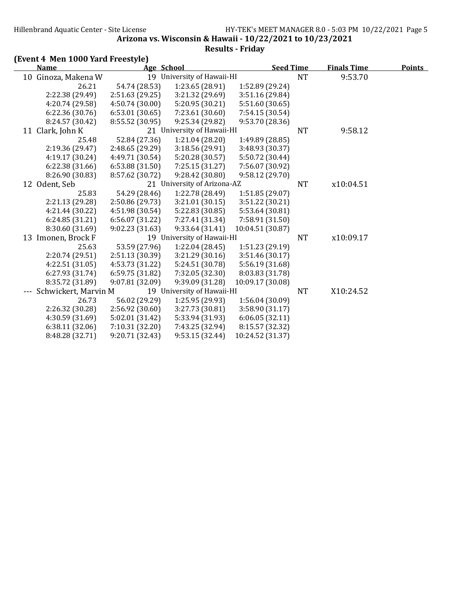| (Event 4 Men 1000 Yard Freestyle) |  |  |  |  |  |
|-----------------------------------|--|--|--|--|--|
|-----------------------------------|--|--|--|--|--|

| <b>Name</b>              | Age School      |                             | <b>Seed Time</b> |           | <b>Finals Time</b> | <b>Points</b> |
|--------------------------|-----------------|-----------------------------|------------------|-----------|--------------------|---------------|
| 10 Ginoza, Makena W      |                 | 19 University of Hawaii-HI  |                  | <b>NT</b> | 9:53.70            |               |
| 26.21                    | 54.74 (28.53)   | 1:23.65 (28.91)             | 1:52.89 (29.24)  |           |                    |               |
| 2:22.38 (29.49)          | 2:51.63 (29.25) | 3:21.32 (29.69)             | 3:51.16(29.84)   |           |                    |               |
| 4:20.74 (29.58)          | 4:50.74 (30.00) | 5:20.95 (30.21)             | 5:51.60 (30.65)  |           |                    |               |
| 6:22.36(30.76)           | 6:53.01(30.65)  | 7:23.61 (30.60)             | 7:54.15 (30.54)  |           |                    |               |
| 8:24.57 (30.42)          | 8:55.52 (30.95) | 9:25.34 (29.82)             | 9:53.70 (28.36)  |           |                    |               |
| 11 Clark, John K         |                 | 21 University of Hawaii-HI  |                  | NT        | 9:58.12            |               |
| 25.48                    | 52.84 (27.36)   | 1:21.04 (28.20)             | 1:49.89 (28.85)  |           |                    |               |
| 2:19.36 (29.47)          | 2:48.65 (29.29) | 3:18.56 (29.91)             | 3:48.93 (30.37)  |           |                    |               |
| 4:19.17 (30.24)          | 4:49.71 (30.54) | 5:20.28 (30.57)             | 5:50.72 (30.44)  |           |                    |               |
| 6:22.38 (31.66)          | 6:53.88(31.50)  | 7:25.15 (31.27)             | 7:56.07 (30.92)  |           |                    |               |
| 8:26.90 (30.83)          | 8:57.62 (30.72) | 9:28.42 (30.80)             | 9:58.12(29.70)   |           |                    |               |
| 12 Odent, Seb            |                 | 21 University of Arizona-AZ |                  | <b>NT</b> | x10:04.51          |               |
| 25.83                    | 54.29 (28.46)   | 1:22.78 (28.49)             | 1:51.85(29.07)   |           |                    |               |
| 2:21.13 (29.28)          | 2:50.86 (29.73) | 3:21.01(30.15)              | 3:51.22 (30.21)  |           |                    |               |
| 4:21.44 (30.22)          | 4:51.98 (30.54) | 5:22.83 (30.85)             | 5:53.64 (30.81)  |           |                    |               |
| 6:24.85 (31.21)          | 6:56.07 (31.22) | 7:27.41 (31.34)             | 7:58.91 (31.50)  |           |                    |               |
| 8:30.60 (31.69)          | 9:02.23(31.63)  | 9:33.64(31.41)              | 10:04.51 (30.87) |           |                    |               |
| 13 Imonen, Brock F       |                 | 19 University of Hawaii-HI  |                  | <b>NT</b> | x10:09.17          |               |
| 25.63                    | 53.59 (27.96)   | 1:22.04 (28.45)             | 1:51.23 (29.19)  |           |                    |               |
| 2:20.74 (29.51)          | 2:51.13 (30.39) | 3:21.29(30.16)              | 3:51.46(30.17)   |           |                    |               |
| 4:22.51 (31.05)          | 4:53.73 (31.22) | 5:24.51 (30.78)             | 5:56.19 (31.68)  |           |                    |               |
| 6:27.93 (31.74)          | 6:59.75 (31.82) | 7:32.05 (32.30)             | 8:03.83 (31.78)  |           |                    |               |
| 8:35.72 (31.89)          | 9:07.81 (32.09) | 9:39.09 (31.28)             | 10:09.17 (30.08) |           |                    |               |
| --- Schwickert, Marvin M |                 | 19 University of Hawaii-HI  |                  | <b>NT</b> | X10:24.52          |               |
| 26.73                    | 56.02 (29.29)   | 1:25.95 (29.93)             | 1:56.04(30.09)   |           |                    |               |
| 2:26.32 (30.28)          | 2:56.92 (30.60) | 3:27.73 (30.81)             | 3:58.90(31.17)   |           |                    |               |
| 4:30.59 (31.69)          | 5:02.01 (31.42) | 5:33.94 (31.93)             | 6:06.05(32.11)   |           |                    |               |
| 6:38.11(32.06)           | 7:10.31 (32.20) | 7:43.25 (32.94)             | 8:15.57 (32.32)  |           |                    |               |
| 8:48.28 (32.71)          | 9:20.71 (32.43) | 9:53.15 (32.44)             | 10:24.52 (31.37) |           |                    |               |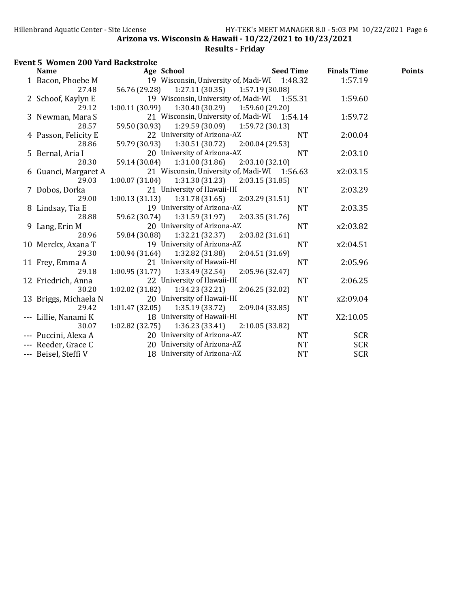## Results - Friday

### Event 5 Women 200 Yard Backstroke

| Name                  | Age School                                         | <b>Seed Time</b> | <b>Finals Time</b> | <b>Points</b> |
|-----------------------|----------------------------------------------------|------------------|--------------------|---------------|
| 1 Bacon, Phoebe M     | 19 Wisconsin, University of, Madi-WI 1:48.32       |                  | 1:57.19            |               |
| 27.48                 | 56.76 (29.28)<br>$1:27.11(30.35)$ $1:57.19(30.08)$ |                  |                    |               |
| 2 Schoof, Kaylyn E    | 19 Wisconsin, University of, Madi-WI 1:55.31       |                  | 1:59.60            |               |
| 29.12                 | 1:30.40(30.29)<br>1:00.11(30.99)                   | 1:59.60(29.20)   |                    |               |
| 3 Newman, Mara S      | 21 Wisconsin, University of, Madi-WI 1:54.14       |                  | 1:59.72            |               |
| 28.57                 | 59.50 (30.93) 1:29.59 (30.09) 1:59.72 (30.13)      |                  |                    |               |
| 4 Passon, Felicity E  | 22 University of Arizona-AZ                        | <b>NT</b>        | 2:00.04            |               |
| 28.86                 | 59.79 (30.93)<br>1:30.51(30.72)                    | 2:00.04(29.53)   |                    |               |
| 5 Bernal, Aria I      | 20 University of Arizona-AZ                        | <b>NT</b>        | 2:03.10            |               |
| 28.30                 | 59.14 (30.84)<br>1:31.00(31.86)                    | 2:03.10 (32.10)  |                    |               |
| 6 Guanci, Margaret A  | 21 Wisconsin, University of, Madi-WI 1:56.63       |                  | x2:03.15           |               |
| 29.03                 | 1:00.07(31.04)<br>1:31.30 (31.23)                  | 2:03.15(31.85)   |                    |               |
| 7 Dobos, Dorka        | 21 University of Hawaii-HI                         | <b>NT</b>        | 2:03.29            |               |
| 29.00                 | 1:00.13(31.13)<br>1:31.78(31.65)                   | 2:03.29 (31.51)  |                    |               |
| 8 Lindsay, Tia E      | 19 University of Arizona-AZ                        | <b>NT</b>        | 2:03.35            |               |
| 28.88                 | 1:31.59(31.97)<br>59.62 (30.74)                    | 2:03.35(31.76)   |                    |               |
| 9 Lang, Erin M        | 20 University of Arizona-AZ                        | <b>NT</b>        | x2:03.82           |               |
| 28.96                 | 59.84 (30.88)<br>1:32.21 (32.37)                   | 2:03.82 (31.61)  |                    |               |
| 10 Merckx, Axana T    | 19 University of Arizona-AZ                        | <b>NT</b>        | x2:04.51           |               |
| 29.30                 | 1:00.94(31.64)<br>1:32.82 (31.88)                  | 2:04.51 (31.69)  |                    |               |
| 11 Frey, Emma A       | 21 University of Hawaii-HI                         | <b>NT</b>        | 2:05.96            |               |
| 29.18                 | 1:00.95(31.77)<br>1:33.49 (32.54)                  | 2:05.96 (32.47)  |                    |               |
| 12 Friedrich, Anna    | 22 University of Hawaii-HI                         | <b>NT</b>        | 2:06.25            |               |
| 30.20                 | 1:02.02(31.82)<br>1:34.23 (32.21)                  | 2:06.25 (32.02)  |                    |               |
| 13 Briggs, Michaela N | 20 University of Hawaii-HI                         | <b>NT</b>        | x2:09.04           |               |
| 29.42                 | 1:35.19 (33.72)<br>1:01.47(32.05)                  | 2:09.04 (33.85)  |                    |               |
| --- Lillie, Nanami K  | 18 University of Hawaii-HI                         | <b>NT</b>        | X2:10.05           |               |
| 30.07                 | $1:02.82$ (32.75) $1:36.23$ (33.41)                | 2:10.05 (33.82)  |                    |               |
| Puccini, Alexa A      | 20 University of Arizona-AZ                        | <b>NT</b>        | <b>SCR</b>         |               |
| --- Reeder, Grace C   | 20 University of Arizona-AZ                        | <b>NT</b>        | <b>SCR</b>         |               |
| --- Beisel, Steffi V  | 18 University of Arizona-AZ                        | <b>NT</b>        | <b>SCR</b>         |               |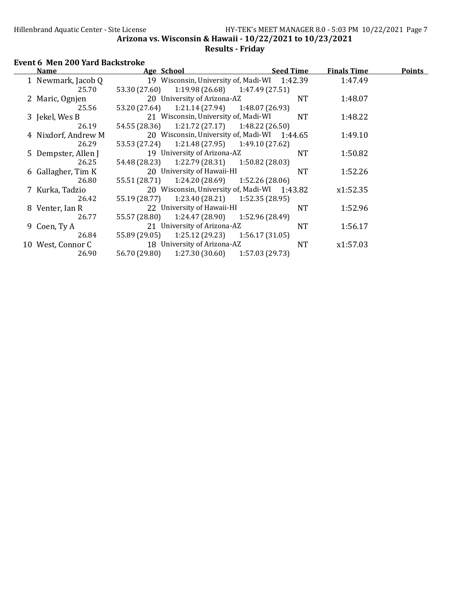## Results - Friday

### Event 6 Men 200 Yard Backstroke

 $\overline{\phantom{a}}$ 

| Name                | Age School                                    | <b>Seed Time</b>                             | <b>Finals Time</b> | <b>Points</b> |
|---------------------|-----------------------------------------------|----------------------------------------------|--------------------|---------------|
| 1 Newmark, Jacob Q  |                                               | 19 Wisconsin, University of, Madi-WI 1:42.39 | 1:47.49            |               |
| 25.70               | 53.30 (27.60) 1:19.98 (26.68) 1:47.49 (27.51) |                                              |                    |               |
| 2 Maric, Ognjen     | 20 University of Arizona-AZ                   | NT                                           | 1:48.07            |               |
| 25.56               | 53.20 (27.64) 1:21.14 (27.94) 1:48.07 (26.93) |                                              |                    |               |
| 3 Jekel, Wes B      | 21 Wisconsin, University of, Madi-WI          | NT                                           | 1:48.22            |               |
| 26.19               | 54.55 (28.36) 1:21.72 (27.17) 1:48.22 (26.50) |                                              |                    |               |
| 4 Nixdorf, Andrew M |                                               | 20 Wisconsin, University of, Madi-WI 1:44.65 | 1:49.10            |               |
| 26.29               | 53.53 (27.24) 1:21.48 (27.95) 1:49.10 (27.62) |                                              |                    |               |
| 5 Dempster, Allen J | 19 University of Arizona-AZ                   | NT                                           | 1:50.82            |               |
| 26.25               | 54.48 (28.23) 1:22.79 (28.31) 1:50.82 (28.03) |                                              |                    |               |
| 6 Gallagher, Tim K  | 20 University of Hawaii-HI                    | <b>NT</b>                                    | 1:52.26            |               |
| 26.80               | 55.51 (28.71) 1:24.20 (28.69) 1:52.26 (28.06) |                                              |                    |               |
| 7   Kurka, Tadzio   |                                               | 20 Wisconsin, University of, Madi-WI 1:43.82 | x1:52.35           |               |
| 26.42               | 55.19 (28.77) 1:23.40 (28.21) 1:52.35 (28.95) |                                              |                    |               |
| 8 Venter, Ian R     | 22 University of Hawaii-HI                    | NT                                           | 1:52.96            |               |
| 26.77               | 55.57 (28.80) 1:24.47 (28.90) 1:52.96 (28.49) |                                              |                    |               |
| 9 Coen, Ty A        | 21 University of Arizona-AZ                   | <b>NT</b>                                    | 1:56.17            |               |
| 26.84               | 55.89 (29.05) 1:25.12 (29.23) 1:56.17 (31.05) |                                              |                    |               |
| 10 West, Connor C   | 18 University of Arizona-AZ                   | NT.                                          | x1:57.03           |               |
| 26.90               | 56.70 (29.80) 1:27.30 (30.60) 1:57.03 (29.73) |                                              |                    |               |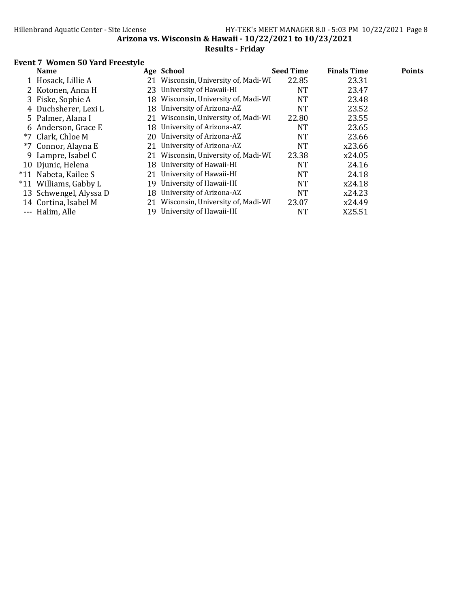## Results - Friday

## Event 7 Women 50 Yard Freestyle

| <b>Points</b> |
|---------------|
|               |
|               |
|               |
|               |
|               |
|               |
|               |
|               |
|               |
|               |
|               |
|               |
|               |
|               |
|               |
|               |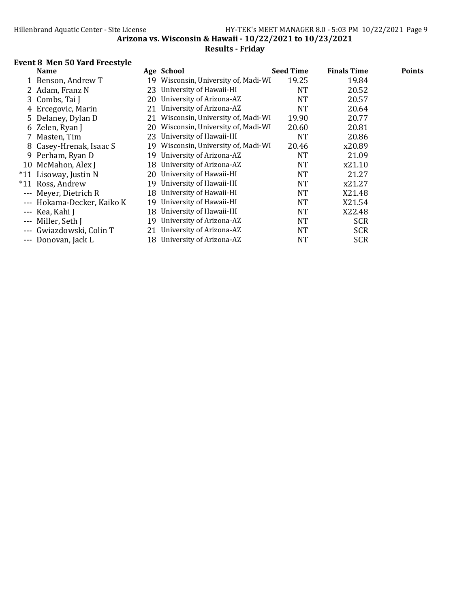# Results - Friday

### Event 8 Men 50 Yard Freestyle

|         | <b>Name</b>            |    | Age School                        | <b>Seed Time</b> | <b>Finals Time</b> | <b>Points</b> |
|---------|------------------------|----|-----------------------------------|------------------|--------------------|---------------|
|         | 1 Benson, Andrew T     | 19 | Wisconsin, University of, Madi-WI | 19.25            | 19.84              |               |
|         | 2 Adam, Franz N        | 23 | University of Hawaii-HI           | <b>NT</b>        | 20.52              |               |
|         | 3 Combs, Tai J         | 20 | University of Arizona-AZ          | <b>NT</b>        | 20.57              |               |
| 4       | Ercegovic, Marin       | 21 | University of Arizona-AZ          | <b>NT</b>        | 20.64              |               |
|         | 5 Delaney, Dylan D     | 21 | Wisconsin, University of, Madi-WI | 19.90            | 20.77              |               |
| 6       | Zelen, Ryan J          | 20 | Wisconsin, University of, Madi-WI | 20.60            | 20.81              |               |
|         | Masten, Tim            | 23 | University of Hawaii-HI           | <b>NT</b>        | 20.86              |               |
| 8       | Casey-Hrenak, Isaac S  | 19 | Wisconsin, University of, Madi-WI | 20.46            | x20.89             |               |
|         | 9 Perham, Ryan D       | 19 | University of Arizona-AZ          | <b>NT</b>        | 21.09              |               |
|         | 10 McMahon, Alex J     | 18 | University of Arizona-AZ          | <b>NT</b>        | x21.10             |               |
|         | *11 Lisoway, Justin N  | 20 | University of Hawaii-HI           | NT               | 21.27              |               |
|         | *11 Ross, Andrew       | 19 | University of Hawaii-HI           | NT               | x21.27             |               |
|         | --- Meyer, Dietrich R  | 18 | University of Hawaii-HI           | NT               | X21.48             |               |
|         | Hokama-Decker, Kaiko K | 19 | University of Hawaii-HI           | <b>NT</b>        | X21.54             |               |
|         | --- Kea, Kahi J        | 18 | University of Hawaii-HI           | <b>NT</b>        | X22.48             |               |
| $- - -$ | Miller, Seth J         | 19 | University of Arizona-AZ          | <b>NT</b>        | <b>SCR</b>         |               |
| $- - -$ | Gwiazdowski, Colin T   | 21 | University of Arizona-AZ          | <b>NT</b>        | <b>SCR</b>         |               |
|         | --- Donovan, Jack L    | 18 | University of Arizona-AZ          | NT               | <b>SCR</b>         |               |
|         |                        |    |                                   |                  |                    |               |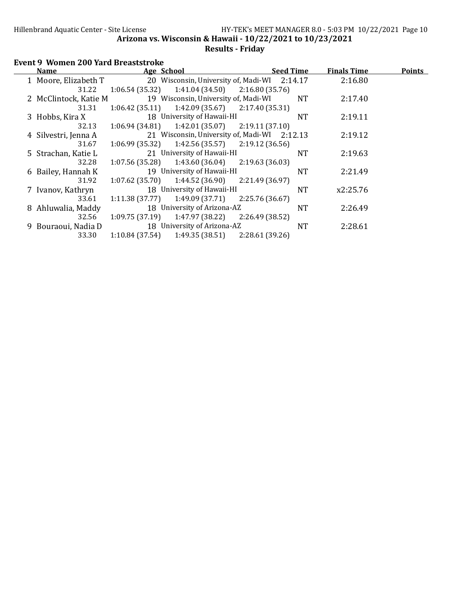| <b>Event 9 Women 200 Yard Breaststroke</b> |  |  |  |  |
|--------------------------------------------|--|--|--|--|
|--------------------------------------------|--|--|--|--|

| <b>Name</b>           | Age School                                   | <b>Seed Time</b> | <b>Finals Time</b> | <b>Points</b> |
|-----------------------|----------------------------------------------|------------------|--------------------|---------------|
| 1 Moore, Elizabeth T  | 20 Wisconsin, University of, Madi-WI 2:14.17 |                  | 2:16.80            |               |
| 31.22                 | 1:06.54(35.32)<br>1:41.04 (34.50)            | 2:16.80(35.76)   |                    |               |
| 2 McClintock, Katie M | 19 Wisconsin, University of, Madi-WI         | NT               | 2:17.40            |               |
| 31.31                 | 1:06.42(35.11)<br>1:42.09 (35.67)            | 2:17.40(35.31)   |                    |               |
| 3 Hobbs, Kira X       | 18 University of Hawaii-HI                   | NT               | 2:19.11            |               |
| 32.13                 | 1:42.01 (35.07)<br>1:06.94(34.81)            | 2:19.11(37.10)   |                    |               |
| 4 Silvestri, Jenna A  | 21 Wisconsin, University of, Madi-WI 2:12.13 |                  | 2:19.12            |               |
| 31.67                 | 1:42.56 (35.57)<br>1:06.99(35.32)            | 2:19.12(36.56)   |                    |               |
| 5 Strachan, Katie L   | 21 University of Hawaii-HI                   | NT               | 2:19.63            |               |
| 32.28                 | 1:07.56(35.28)<br>1:43.60 (36.04)            | 2:19.63(36.03)   |                    |               |
| 6 Bailey, Hannah K    | 19 University of Hawaii-HI                   | NT               | 2:21.49            |               |
| 31.92                 | 1:07.62(35.70)<br>1:44.52 (36.90)            | 2:21.49(36.97)   |                    |               |
| 7 Ivanov, Kathryn     | 18 University of Hawaii-HI                   | NT               | x2:25.76           |               |
| 33.61                 | 1:11.38(37.77)<br>1:49.09 (37.71)            | 2:25.76 (36.67)  |                    |               |
| 8 Ahluwalia, Maddy    | 18 University of Arizona-AZ                  | NT               | 2:26.49            |               |
| 32.56                 | 1:47.97 (38.22)<br>1:09.75(37.19)            | 2:26.49(38.52)   |                    |               |
| 9 Bouraoui, Nadia D   | 18 University of Arizona-AZ                  | NT               | 2:28.61            |               |
| 33.30                 | 1:10.84(37.54)<br>1:49.35(38.51)             | 2:28.61 (39.26)  |                    |               |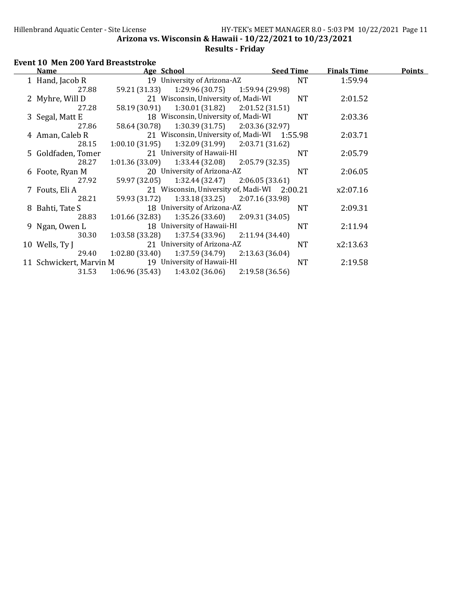# Results - Friday

### Event 10 Men 200 Yard Breaststroke

| Name                    | Age School                                         | <b>Seed Time</b> | <b>Finals Time</b> | <b>Points</b> |
|-------------------------|----------------------------------------------------|------------------|--------------------|---------------|
| 1 Hand, Jacob R         | 19 University of Arizona-AZ                        | <b>NT</b>        | 1:59.94            |               |
| 27.88                   | 59.21 (31.33)<br>$1:29.96(30.75)$ $1:59.94(29.98)$ |                  |                    |               |
| 2 Myhre, Will D         | 21 Wisconsin, University of, Madi-WI               | NT               | 2:01.52            |               |
| 27.28                   | $1:30.01(31.82)$ $2:01.52(31.51)$<br>58.19 (30.91) |                  |                    |               |
| 3 Segal, Matt E         | 18 Wisconsin, University of, Madi-WI               | NT               | 2:03.36            |               |
| 27.86                   | 58.64 (30.78) 1:30.39 (31.75) 2:03.36 (32.97)      |                  |                    |               |
| 4 Aman, Caleb R         | 21 Wisconsin, University of, Madi-WI 1:55.98       |                  | 2:03.71            |               |
| 28.15                   | 1:32.09 (31.99) 2:03.71 (31.62)<br>1:00.10(31.95)  |                  |                    |               |
| 5 Goldfaden, Tomer      | 21 University of Hawaii-HI                         | <b>NT</b>        | 2:05.79            |               |
| 28.27                   | $1:01.36(33.09)$ $1:33.44(32.08)$ $2:05.79(32.35)$ |                  |                    |               |
| 6 Foote, Ryan M         | 20 University of Arizona-AZ                        | <b>NT</b>        | 2:06.05            |               |
| 27.92                   | $59.97(32.05)$ $1:32.44(32.47)$                    | 2:06.05 (33.61)  |                    |               |
| 7 Fouts, Eli A          | 21 Wisconsin, University of, Madi-WI 2:00.21       |                  | x2:07.16           |               |
| 28.21                   | 59.93 (31.72) 1:33.18 (33.25) 2:07.16 (33.98)      |                  |                    |               |
| 8 Bahti, Tate S         | 18 University of Arizona-AZ                        | <b>NT</b>        | 2:09.31            |               |
| 28.83                   | 1:01.66(32.83)<br>1:35.26 (33.60)                  | 2:09.31(34.05)   |                    |               |
| 9 Ngan, Owen L          | 18 University of Hawaii-HI                         | <b>NT</b>        | 2:11.94            |               |
| 30.30                   | $1:03.58(33.28)$ $1:37.54(33.96)$                  | 2:11.94(34.40)   |                    |               |
| 10 Wells, Ty J          | 21 University of Arizona-AZ                        | <b>NT</b>        | x2:13.63           |               |
| 29.40                   | $1:02.80(33.40)$ $1:37.59(34.79)$                  | 2:13.63(36.04)   |                    |               |
| 11 Schwickert, Marvin M | 19 University of Hawaii-HI                         | <b>NT</b>        | 2:19.58            |               |
| 31.53                   | $1:06.96(35.43)$ $1:43.02(36.06)$                  | 2:19.58(36.56)   |                    |               |
|                         |                                                    |                  |                    |               |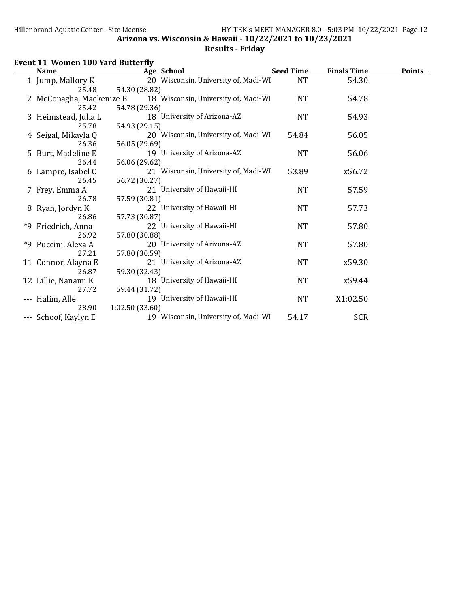|    | <b>Event 11 Women 100 Yard Butterfly</b> |                                      |                  |                    |               |  |  |  |
|----|------------------------------------------|--------------------------------------|------------------|--------------------|---------------|--|--|--|
|    | <b>Name</b>                              | Age School                           | <b>Seed Time</b> | <b>Finals Time</b> | <b>Points</b> |  |  |  |
|    | 1 Jump, Mallory K                        | 20 Wisconsin, University of, Madi-WI | <b>NT</b>        | 54.30              |               |  |  |  |
|    | 25.48                                    | 54.30 (28.82)                        |                  |                    |               |  |  |  |
|    | 2 McConagha, Mackenize B                 | 18 Wisconsin, University of, Madi-WI | <b>NT</b>        | 54.78              |               |  |  |  |
|    | 25.42                                    | 54.78 (29.36)                        |                  |                    |               |  |  |  |
|    | 3 Heimstead, Julia L                     | 18 University of Arizona-AZ          | <b>NT</b>        | 54.93              |               |  |  |  |
|    | 25.78                                    | 54.93 (29.15)                        |                  |                    |               |  |  |  |
|    | 4 Seigal, Mikayla Q                      | 20 Wisconsin, University of, Madi-WI | 54.84            | 56.05              |               |  |  |  |
|    | 26.36                                    | 56.05 (29.69)                        |                  |                    |               |  |  |  |
|    | 5 Burt, Madeline E                       | 19 University of Arizona-AZ          | <b>NT</b>        | 56.06              |               |  |  |  |
|    | 26.44                                    | 56.06 (29.62)                        |                  |                    |               |  |  |  |
|    | 6 Lampre, Isabel C                       | 21 Wisconsin, University of, Madi-WI | 53.89            | x56.72             |               |  |  |  |
|    | 26.45                                    | 56.72 (30.27)                        |                  |                    |               |  |  |  |
|    | 7 Frey, Emma A                           | 21 University of Hawaii-HI           | <b>NT</b>        | 57.59              |               |  |  |  |
|    | 26.78                                    | 57.59 (30.81)                        |                  |                    |               |  |  |  |
|    | 8 Ryan, Jordyn K                         | 22 University of Hawaii-HI           | <b>NT</b>        | 57.73              |               |  |  |  |
|    | 26.86                                    | 57.73 (30.87)                        |                  |                    |               |  |  |  |
| *9 | Friedrich, Anna                          | 22 University of Hawaii-HI           | <b>NT</b>        | 57.80              |               |  |  |  |
|    | 26.92                                    | 57.80 (30.88)                        |                  |                    |               |  |  |  |
|    | *9 Puccini, Alexa A                      | 20 University of Arizona-AZ          | <b>NT</b>        | 57.80              |               |  |  |  |
|    | 27.21                                    | 57.80 (30.59)                        |                  |                    |               |  |  |  |
|    | 11 Connor, Alayna E                      | 21 University of Arizona-AZ          | <b>NT</b>        | x59.30             |               |  |  |  |
|    | 26.87                                    | 59.30 (32.43)                        |                  |                    |               |  |  |  |
|    | 12 Lillie, Nanami K                      | 18 University of Hawaii-HI           | <b>NT</b>        | x59.44             |               |  |  |  |
|    | 27.72                                    | 59.44 (31.72)                        |                  |                    |               |  |  |  |
|    | Halim, Alle                              | 19 University of Hawaii-HI           | <b>NT</b>        | X1:02.50           |               |  |  |  |
|    | 28.90                                    | 1:02.50(33.60)                       |                  |                    |               |  |  |  |
|    | --- Schoof, Kaylyn E                     | 19 Wisconsin, University of, Madi-WI | 54.17            | <b>SCR</b>         |               |  |  |  |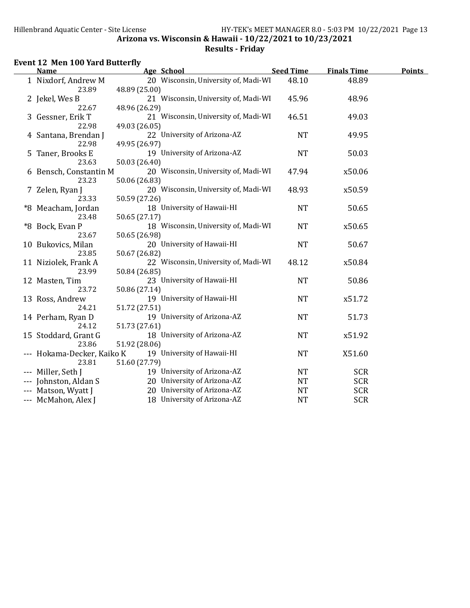## Results - Friday

### Event 12 Men 100 Yard Butterfly

|       | <b>Name</b>            | Age School                           | <b>Seed Time</b> | <b>Finals Time</b> | <b>Points</b> |
|-------|------------------------|--------------------------------------|------------------|--------------------|---------------|
|       | 1 Nixdorf, Andrew M    | 20 Wisconsin, University of, Madi-WI | 48.10            | 48.89              |               |
|       | 23.89                  | 48.89 (25.00)                        |                  |                    |               |
|       | 2 Jekel, Wes B         | 21 Wisconsin, University of, Madi-WI | 45.96            | 48.96              |               |
|       | 22.67                  | 48.96 (26.29)                        |                  |                    |               |
|       | 3 Gessner, Erik T      | 21 Wisconsin, University of, Madi-WI | 46.51            | 49.03              |               |
|       | 22.98                  | 49.03 (26.05)                        |                  |                    |               |
|       | 4 Santana, Brendan J   | 22 University of Arizona-AZ          | <b>NT</b>        | 49.95              |               |
|       | 22.98                  | 49.95 (26.97)                        |                  |                    |               |
|       | 5 Taner, Brooks E      | 19 University of Arizona-AZ          | <b>NT</b>        | 50.03              |               |
|       | 23.63                  | 50.03 (26.40)                        |                  |                    |               |
|       | 6 Bensch, Constantin M | 20 Wisconsin, University of, Madi-WI | 47.94            | x50.06             |               |
|       | 23.23                  | 50.06 (26.83)                        |                  |                    |               |
|       | 7 Zelen, Ryan J        | 20 Wisconsin, University of, Madi-WI | 48.93            | x50.59             |               |
|       | 23.33                  | 50.59 (27.26)                        |                  |                    |               |
|       | *8 Meacham, Jordan     | 18 University of Hawaii-HI           | <b>NT</b>        | 50.65              |               |
|       | 23.48                  | 50.65 (27.17)                        |                  |                    |               |
| *8    | Bock, Evan P           | 18 Wisconsin, University of, Madi-WI | <b>NT</b>        | x50.65             |               |
|       | 23.67                  | 50.65 (26.98)                        |                  |                    |               |
|       | 10 Bukovics, Milan     | 20 University of Hawaii-HI           | <b>NT</b>        | 50.67              |               |
|       | 23.85                  | 50.67 (26.82)                        |                  |                    |               |
|       | 11 Niziolek, Frank A   | 22 Wisconsin, University of, Madi-WI | 48.12            | x50.84             |               |
|       | 23.99                  | 50.84 (26.85)                        |                  |                    |               |
|       | 12 Masten, Tim         | 23 University of Hawaii-HI           | <b>NT</b>        | 50.86              |               |
|       | 23.72                  | 50.86 (27.14)                        |                  |                    |               |
|       | 13 Ross, Andrew        | 19 University of Hawaii-HI           | <b>NT</b>        | x51.72             |               |
|       | 24.21                  | 51.72 (27.51)                        |                  |                    |               |
|       | 14 Perham, Ryan D      | 19 University of Arizona-AZ          | <b>NT</b>        | 51.73              |               |
|       | 24.12                  | 51.73 (27.61)                        |                  |                    |               |
|       | 15 Stoddard, Grant G   | 18 University of Arizona-AZ          | <b>NT</b>        | x51.92             |               |
|       | 23.86                  | 51.92 (28.06)                        |                  |                    |               |
|       | Hokama-Decker, Kaiko K | 19 University of Hawaii-HI           | <b>NT</b>        | X51.60             |               |
|       | 23.81                  | 51.60 (27.79)                        |                  |                    |               |
|       | Miller, Seth J         | 19 University of Arizona-AZ          | <b>NT</b>        | <b>SCR</b>         |               |
|       | Johnston, Aldan S      | 20 University of Arizona-AZ          | NT.              | <b>SCR</b>         |               |
|       | Matson, Wyatt J        | 20 University of Arizona-AZ          | <b>NT</b>        | <b>SCR</b>         |               |
| $---$ | McMahon, Alex J        | 18 University of Arizona-AZ          | <b>NT</b>        | <b>SCR</b>         |               |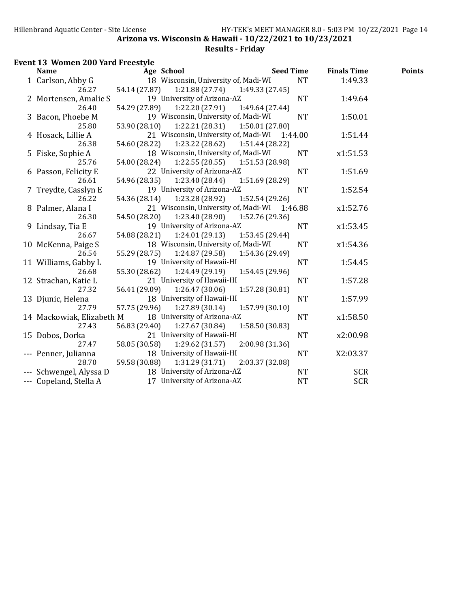# Results - Friday

### Event 13 Women 200 Yard Freestyle

| <b>Name</b>               | Age School                                   | <b>Seed Time</b> | <b>Finals Time</b> | <b>Points</b> |
|---------------------------|----------------------------------------------|------------------|--------------------|---------------|
| 1 Carlson, Abby G         | 18 Wisconsin, University of, Madi-WI         | <b>NT</b>        | 1:49.33            |               |
| 26.27                     | 54.14 (27.87)<br>1:21.88(27.74)              | 1:49.33 (27.45)  |                    |               |
| 2 Mortensen, Amalie S     | 19 University of Arizona-AZ                  | <b>NT</b>        | 1:49.64            |               |
| 26.40                     | 1:22.20 (27.91)<br>54.29 (27.89)             | 1:49.64 (27.44)  |                    |               |
| 3 Bacon, Phoebe M         | 19 Wisconsin, University of, Madi-WI         | <b>NT</b>        | 1:50.01            |               |
| 25.80                     | 1:22.21(28.31)<br>53.90 (28.10)              | 1:50.01(27.80)   |                    |               |
| 4 Hosack, Lillie A        | 21 Wisconsin, University of, Madi-WI         | 1:44.00          | 1:51.44            |               |
| 26.38                     | 1:23.22 (28.62)<br>54.60 (28.22)             | 1:51.44 (28.22)  |                    |               |
| 5 Fiske, Sophie A         | 18 Wisconsin, University of, Madi-WI         | <b>NT</b>        | x1:51.53           |               |
| 25.76                     | 54.00 (28.24)<br>1:22.55(28.55)              | 1:51.53 (28.98)  |                    |               |
| 6 Passon, Felicity E      | 22 University of Arizona-AZ                  | <b>NT</b>        | 1:51.69            |               |
| 26.61                     | 54.96 (28.35)<br>1:23.40 (28.44)             | 1:51.69 (28.29)  |                    |               |
| 7 Treydte, Casslyn E      | 19 University of Arizona-AZ                  | <b>NT</b>        | 1:52.54            |               |
| 26.22                     | 54.36 (28.14)<br>1:23.28 (28.92)             | 1:52.54 (29.26)  |                    |               |
| 8 Palmer, Alana I         | 21 Wisconsin, University of, Madi-WI 1:46.88 |                  | x1:52.76           |               |
| 26.30                     | 54.50 (28.20)<br>1:23.40 (28.90)             | 1:52.76 (29.36)  |                    |               |
| 9 Lindsay, Tia E          | 19 University of Arizona-AZ                  | <b>NT</b>        | x1:53.45           |               |
| 26.67                     | 1:24.01 (29.13)<br>54.88 (28.21)             | 1:53.45 (29.44)  |                    |               |
| 10 McKenna, Paige S       | 18 Wisconsin, University of, Madi-WI         | <b>NT</b>        | x1:54.36           |               |
| 26.54                     | 55.29 (28.75)<br>1:24.87 (29.58)             | 1:54.36 (29.49)  |                    |               |
| 11 Williams, Gabby L      | 19 University of Hawaii-HI                   | <b>NT</b>        | 1:54.45            |               |
| 26.68                     | 55.30 (28.62)<br>1:24.49 (29.19)             | 1:54.45 (29.96)  |                    |               |
| 12 Strachan, Katie L      | 21 University of Hawaii-HI                   | <b>NT</b>        | 1:57.28            |               |
| 27.32                     | 56.41 (29.09)<br>1:26.47(30.06)              | 1:57.28 (30.81)  |                    |               |
| 13 Djunic, Helena         | 18 University of Hawaii-HI                   | <b>NT</b>        | 1:57.99            |               |
| 27.79                     | 57.75 (29.96)<br>1:27.89 (30.14)             | 1:57.99 (30.10)  |                    |               |
| 14 Mackowiak, Elizabeth M | 18 University of Arizona-AZ                  | NT               | x1:58.50           |               |
| 27.43                     | 1:27.67 (30.84)<br>56.83 (29.40)             | 1:58.50 (30.83)  |                    |               |
| 15 Dobos, Dorka           | 21 University of Hawaii-HI                   | <b>NT</b>        | x2:00.98           |               |
| 27.47                     | 1:29.62 (31.57)<br>58.05 (30.58)             | 2:00.98 (31.36)  |                    |               |
| --- Penner, Julianna      | 18 University of Hawaii-HI                   | <b>NT</b>        | X2:03.37           |               |
| 28.70                     | 59.58 (30.88)<br>1:31.29(31.71)              | 2:03.37 (32.08)  |                    |               |
| --- Schwengel, Alyssa D   | 18 University of Arizona-AZ                  | <b>NT</b>        | <b>SCR</b>         |               |
| --- Copeland, Stella A    | 17 University of Arizona-AZ                  | <b>NT</b>        | <b>SCR</b>         |               |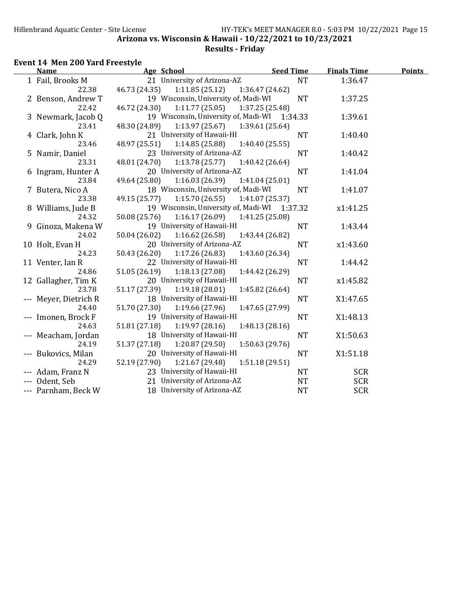# Results - Friday

### Event 14 Men 200 Yard Freestyle

| <b>Name</b>           | Age School                                   | <b>Seed Time</b> | <b>Finals Time</b> | <b>Points</b> |
|-----------------------|----------------------------------------------|------------------|--------------------|---------------|
| 1 Fail, Brooks M      | 21 University of Arizona-AZ                  | <b>NT</b>        | 1:36.47            |               |
| 22.38                 | 46.73 (24.35)<br>1:11.85(25.12)              | 1:36.47 (24.62)  |                    |               |
| 2 Benson, Andrew T    | 19 Wisconsin, University of, Madi-WI         | <b>NT</b>        | 1:37.25            |               |
| 22.42                 | 46.72 (24.30)<br>1:11.77(25.05)              | 1:37.25 (25.48)  |                    |               |
| 3 Newmark, Jacob Q    | 19 Wisconsin, University of, Madi-WI 1:34.33 |                  | 1:39.61            |               |
| 23.41                 | 1:13.97(25.67)<br>48.30 (24.89)              | 1:39.61 (25.64)  |                    |               |
| 4 Clark, John K       | 21 University of Hawaii-HI                   | <b>NT</b>        | 1:40.40            |               |
| 23.46                 | 1:14.85 (25.88)<br>48.97 (25.51)             | 1:40.40(25.55)   |                    |               |
| 5 Namir, Daniel       | 23 University of Arizona-AZ                  | <b>NT</b>        | 1:40.42            |               |
| 23.31                 | 1:13.78(25.77)<br>48.01 (24.70)              | 1:40.42 (26.64)  |                    |               |
| 6 Ingram, Hunter A    | 20 University of Arizona-AZ                  | <b>NT</b>        | 1:41.04            |               |
| 23.84                 | 49.64 (25.80)<br>1:16.03(26.39)              | 1:41.04 (25.01)  |                    |               |
| 7 Butera, Nico A      | 18 Wisconsin, University of, Madi-WI         | <b>NT</b>        | 1:41.07            |               |
| 23.38                 | 49.15 (25.77)<br>1:15.70(26.55)              | 1:41.07(25.37)   |                    |               |
| 8 Williams, Jude B    | 19 Wisconsin, University of, Madi-WI 1:37.32 |                  | x1:41.25           |               |
| 24.32                 | 50.08 (25.76)<br>1:16.17(26.09)              | 1:41.25 (25.08)  |                    |               |
| 9 Ginoza, Makena W    | 19 University of Hawaii-HI                   | <b>NT</b>        | 1:43.44            |               |
| 24.02                 | 50.04 (26.02)<br>1:16.62 (26.58)             | 1:43.44 (26.82)  |                    |               |
| 10 Holt, Evan H       | 20 University of Arizona-AZ                  | <b>NT</b>        | x1:43.60           |               |
| 24.23                 | 50.43 (26.20)<br>1:17.26 (26.83)             | 1:43.60 (26.34)  |                    |               |
| 11 Venter, Ian R      | 22 University of Hawaii-HI                   | <b>NT</b>        | 1:44.42            |               |
| 24.86                 | 51.05 (26.19)<br>1:18.13(27.08)              | 1:44.42 (26.29)  |                    |               |
| 12 Gallagher, Tim K   | 20 University of Hawaii-HI                   | <b>NT</b>        | x1:45.82           |               |
| 23.78                 | 51.17 (27.39)<br>1:19.18(28.01)              | 1:45.82 (26.64)  |                    |               |
| --- Meyer, Dietrich R | 18 University of Hawaii-HI                   | <b>NT</b>        | X1:47.65           |               |
| 24.40                 | 51.70 (27.30)<br>1:19.66 (27.96)             | 1:47.65 (27.99)  |                    |               |
| --- Imonen, Brock F   | 19 University of Hawaii-HI                   | <b>NT</b>        | X1:48.13           |               |
| 24.63                 | 51.81 (27.18)<br>1:19.97(28.16)              | 1:48.13(28.16)   |                    |               |
| --- Meacham, Jordan   | 18 University of Hawaii-HI                   | <b>NT</b>        | X1:50.63           |               |
| 24.19                 | 51.37 (27.18)<br>1:20.87 (29.50)             | 1:50.63 (29.76)  |                    |               |
| --- Bukovics, Milan   | 20 University of Hawaii-HI                   | <b>NT</b>        | X1:51.18           |               |
| 24.29                 | 52.19 (27.90)<br>1:21.67 (29.48)             | 1:51.18(29.51)   |                    |               |
| --- Adam, Franz N     | 23 University of Hawaii-HI                   | <b>NT</b>        | <b>SCR</b>         |               |
| Odent, Seb            | 21 University of Arizona-AZ                  | <b>NT</b>        | <b>SCR</b>         |               |
| --- Parnham, Beck W   | 18 University of Arizona-AZ                  | <b>NT</b>        | <b>SCR</b>         |               |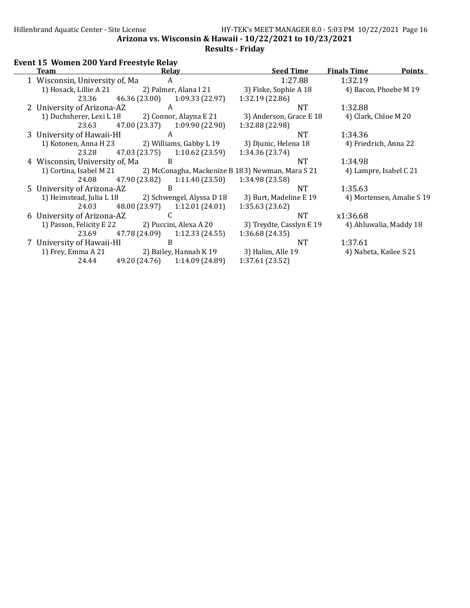$\sim$ 

Arizona vs. Wisconsin & Hawaii - 10/22/2021 to 10/23/2021

## Results - Friday

## Event 15 Women 200 Yard Freestyle Relay

| Relay<br><b>Team</b>                                        |                                   | <b>Seed Time</b>                        | <b>Finals Time</b><br><b>Points</b>                                      |                           |  |
|-------------------------------------------------------------|-----------------------------------|-----------------------------------------|--------------------------------------------------------------------------|---------------------------|--|
| 1 Wisconsin, University of, Ma                              | A                                 |                                         | 1:27.88                                                                  | 1:32.19                   |  |
| 1) Hosack, Lillie A 21 2) Palmer, Alana I 21                |                                   |                                         | 3) Fiske, Sophie A 18                                                    | 4) Bacon, Phoebe M 19     |  |
|                                                             |                                   | 23.36 46.36 (23.00) 1:09.33 (22.97)     | 1:32.19(22.86)                                                           |                           |  |
| 2 University of Arizona-AZ                                  | $\overline{A}$                    |                                         | NT.                                                                      | 1:32.88                   |  |
| 1) Duchsherer, Lexi L 18 2) Connor, Alayna E 21             |                                   |                                         | 3) Anderson, Grace E 18                                                  | 4) Clark, Chloe M 20      |  |
|                                                             |                                   | 23.63 47.00 (23.37) 1:09.90 (22.90)     | 1:32.88 (22.98)                                                          |                           |  |
| 3 University of Hawaii-HI                                   | $\overline{A}$                    |                                         | NT                                                                       | 1:34.36                   |  |
| 1) Kotonen, Anna H 23 2) Williams, Gabby L 19               |                                   |                                         | 3) Djunic, Helena 18                                                     | 4) Friedrich, Anna 22     |  |
|                                                             |                                   | 23.28 47.03 (23.75) 1:10.62 (23.59)     | 1:34.36 (23.74)                                                          |                           |  |
| 4 Wisconsin, University of, Ma B                            |                                   |                                         | NT.                                                                      | 1:34.98                   |  |
|                                                             |                                   |                                         | 1) Cortina, Isabel M 21 2) McConagha, Mackenize B 183) Newman, Mara S 21 | 4) Lampre, Isabel C 21    |  |
|                                                             |                                   | 24.08 47.90 (23.82) 1:11.40 (23.50)     | 1:34.98 (23.58)                                                          |                           |  |
| 5 University of Arizona-AZ                                  |                                   | B                                       | NT                                                                       | 1:35.63                   |  |
| 1) Heimstead, Julia L 18 2) Schwengel, Alyssa D 18          |                                   |                                         | 3) Burt, Madeline E 19                                                   | 4) Mortensen, Amalie S 19 |  |
|                                                             |                                   | 24.03 48.00 (23.97) 1:12.01 (24.01)     | 1:35.63(23.62)                                                           |                           |  |
| 6 University of Arizona-AZ                                  | $\overline{c}$ and $\overline{c}$ |                                         | <b>NT</b>                                                                | x1:36.68                  |  |
| 1) Passon, Felicity E 22 2) Puccini, Alexa A 20             |                                   |                                         | 3) Treydte, Casslyn E 19                                                 | 4) Ahluwalia, Maddy 18    |  |
|                                                             |                                   | $23.69$ $47.78(24.09)$ $1:12.33(24.55)$ | 1:36.68(24.35)                                                           |                           |  |
| 7 University of Hawaii-HI                                   |                                   | B                                       | NT.                                                                      | 1:37.61                   |  |
| 1) Frey, Emma A 21 2) Bailey, Hannah K 19 3) Halim, Alle 19 |                                   |                                         |                                                                          | 4) Nabeta, Kailee S 21    |  |
| 24.44                                                       |                                   | 49.20 (24.76) 1:14.09 (24.89)           | 1:37.61 (23.52)                                                          |                           |  |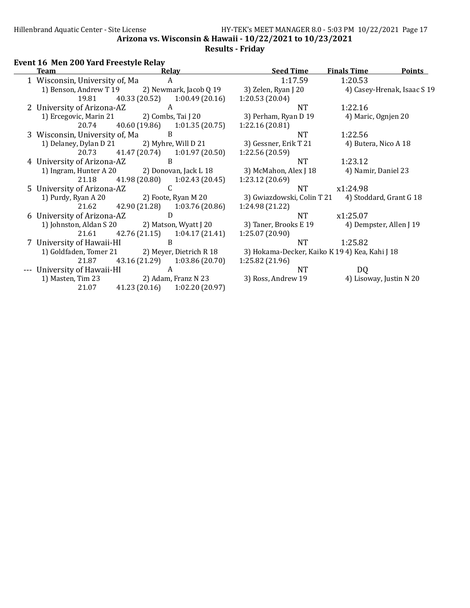Results - Friday

## Event 16 Men 200 Yard Freestyle Relay

| <b>Team</b>                    |                                                | Relay                           | <b>Seed Time</b>                              | <b>Finals Time</b><br><b>Points</b> |
|--------------------------------|------------------------------------------------|---------------------------------|-----------------------------------------------|-------------------------------------|
| 1 Wisconsin, University of, Ma |                                                | A                               | 1:17.59                                       | 1:20.53                             |
|                                | 1) Benson, Andrew T 19 2) Newmark, Jacob Q 19  |                                 | 3) Zelen, Ryan J 20                           | 4) Casey-Hrenak, Isaac S 19         |
| 19.81                          |                                                | $40.33(20.52)$ $1:00.49(20.16)$ | 1:20.53(20.04)                                |                                     |
| 2 University of Arizona-AZ     |                                                | A                               | <b>NT</b>                                     | 1:22.16                             |
| 1) Ercegovic, Marin 21         |                                                | 2) Combs, Tai J 20              | 3) Perham, Ryan D 19                          | 4) Maric, Ognjen 20                 |
| 20.74                          |                                                | $40.60(19.86)$ $1:01.35(20.75)$ | 1:22.16(20.81)                                |                                     |
| 3 Wisconsin, University of, Ma |                                                | B                               | <b>NT</b>                                     | 1:22.56                             |
| 1) Delaney, Dylan D 21         |                                                | 2) Myhre, Will D 21             | 3) Gessner, Erik T 21                         | 4) Butera, Nico A 18                |
| 20.73                          |                                                | 41.47 (20.74) 1:01.97 (20.50)   | 1:22.56 (20.59)                               |                                     |
| 4 University of Arizona-AZ     |                                                | <sup>B</sup>                    | <b>NT</b>                                     | 1:23.12                             |
| 1) Ingram, Hunter A 20         |                                                | 2) Donovan, Jack L 18           | 3) McMahon, Alex J 18                         | 4) Namir, Daniel 23                 |
| 21.18                          |                                                | 41.98 (20.80) 1:02.43 (20.45)   | 1:23.12 (20.69)                               |                                     |
| 5 University of Arizona-AZ     |                                                | C                               | <b>NT</b>                                     | x1:24.98                            |
| 1) Purdy, Ryan A 20            |                                                | 2) Foote, Ryan M 20             | 3) Gwiazdowski, Colin T 21                    | 4) Stoddard, Grant G 18             |
| 21.62                          |                                                | 42.90 (21.28) 1:03.76 (20.86)   | 1:24.98 (21.22)                               |                                     |
| 6 University of Arizona-AZ     |                                                | D                               | NT                                            | x1:25.07                            |
| 1) Johnston, Aldan S 20        |                                                | 2) Matson, Wyatt J 20           | 3) Taner, Brooks E 19                         | 4) Dempster, Allen J 19             |
| 21.61                          |                                                | 42.76 (21.15) 1:04.17 (21.41)   | 1:25.07 (20.90)                               |                                     |
| 7 University of Hawaii-HI      |                                                | B                               | NT.                                           | 1:25.82                             |
|                                | 1) Goldfaden, Tomer 21 2) Meyer, Dietrich R 18 |                                 | 3) Hokama-Decker, Kaiko K 194) Kea, Kahi J 18 |                                     |
| 21.87                          |                                                | 43.16 (21.29) 1:03.86 (20.70)   | 1:25.82(21.96)                                |                                     |
| University of Hawaii-HI        |                                                | A                               | <b>NT</b>                                     | D <sub>Q</sub>                      |
|                                | 1) Masten, Tim 23 2) Adam, Franz N 23          |                                 | 3) Ross, Andrew 19                            | 4) Lisoway, Justin N 20             |
| 21.07                          |                                                | 41.23 (20.16) 1:02.20 (20.97)   |                                               |                                     |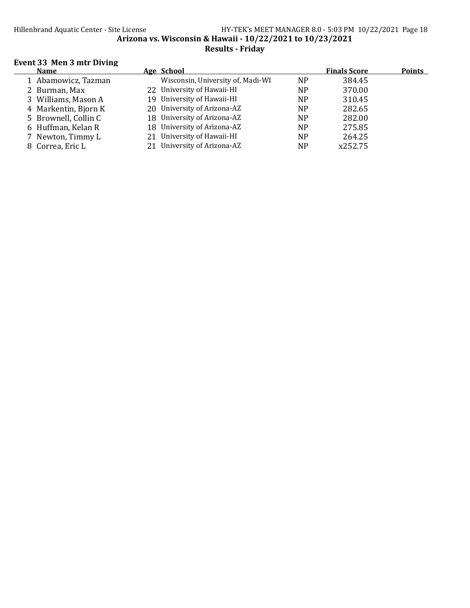#### Hillenbrand Aquatic Center - Site License HY-TEK's MEET MANAGER 8.0 - 5:03 PM 10/22/2021 Page 18 Arizona vs. Wisconsin & Hawaii - 10/22/2021 to 10/23/2021 Results - Friday

## Event 33 Men 3 mtr Diving

| <b>Name</b>          | Age School                        |                | <b>Finals Score</b> | <b>Points</b> |
|----------------------|-----------------------------------|----------------|---------------------|---------------|
| 1 Abamowicz, Tazman  | Wisconsin, University of, Madi-WI | NP.            | 384.45              |               |
| 2 Burman, Max        | 22 University of Hawaii-HI        | NP.            | 370.00              |               |
| 3 Williams, Mason A  | 19 University of Hawaii-HI        | NP             | 310.45              |               |
| 4 Markentin, Bjorn K | 20 University of Arizona-AZ       | <b>NP</b>      | 282.65              |               |
| 5 Brownell, Collin C | 18 University of Arizona-AZ       | N <sub>P</sub> | 282.00              |               |
| 6 Huffman, Kelan R   | 18 University of Arizona-AZ       | N <sub>P</sub> | 275.85              |               |
| 7 Newton, Timmy L    | 21 University of Hawaii-HI        | <b>NP</b>      | 264.25              |               |
| 8 Correa, Eric L     | 21 University of Arizona-AZ       | <b>NP</b>      | x252.75             |               |